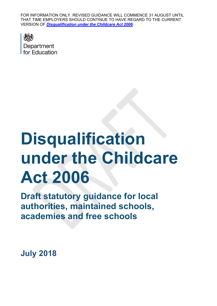FOR INFORMATION ONLY. REVISED GUIDANCE WILL COMMENCE 31 AUGUST UNTIL THAT TIME EMPLOYERS SHOULD CONTINUE TO HAVE REGARD TO THE CURRENT VERSION OF *[Disqualification under the Childcare Act 2006](https://www.gov.uk/government/publications/disqualification-under-the-childcare-act-2006).*



# **Disqualification under the Childcare Act 2006**

**Draft statutory guidance for local authorities, maintained schools, academies and free schools**

**July 2018**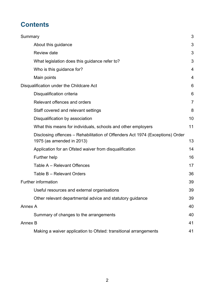# **Contents**

| Summary                                                                                                    | 3              |
|------------------------------------------------------------------------------------------------------------|----------------|
| About this guidance                                                                                        | 3              |
| <b>Review date</b>                                                                                         | 3              |
| What legislation does this guidance refer to?                                                              | 3              |
| Who is this guidance for?                                                                                  | 4              |
| Main points                                                                                                | 4              |
| Disqualification under the Childcare Act                                                                   | 6              |
| Disqualification criteria                                                                                  | 6              |
| Relevant offences and orders                                                                               | $\overline{7}$ |
| Staff covered and relevant settings                                                                        | 8              |
| Disqualification by association                                                                            | 10             |
| What this means for individuals, schools and other employers                                               | 11             |
| Disclosing offences – Rehabilitation of Offenders Act 1974 (Exceptions) Order<br>1975 (as amended in 2013) | 13             |
| Application for an Ofsted waiver from disqualification                                                     | 14             |
| <b>Further help</b>                                                                                        | 16             |
| Table A - Relevant Offences                                                                                | 17             |
| Table B - Relevant Orders                                                                                  | 36             |
| <b>Further information</b>                                                                                 | 39             |
| Useful resources and external organisations                                                                | 39             |
| Other relevant departmental advice and statutory guidance                                                  | 39             |
| <b>Annex A</b>                                                                                             | 40             |
| Summary of changes to the arrangements                                                                     | 40             |
| Annex B                                                                                                    | 41             |
| Making a waiver application to Ofsted: transitional arrangements                                           | 41             |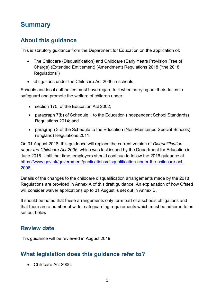# <span id="page-2-0"></span>**Summary**

# <span id="page-2-1"></span>**About this guidance**

This is statutory guidance from the Department for Education on the application of:

- The Childcare (Disqualification) and Childcare (Early Years Provision Free of Charge) (Extended Entitlement) (Amendment) Regulations 2018 ("the 2018 Regulations")
- obligations under the Childcare Act 2006 in schools.

Schools and local authorities must have regard to it when carrying out their duties to safeguard and promote the welfare of children under:

- section 175, of the Education Act 2002;
- paragraph 7(b) of Schedule 1 to the Education (Independent School Standards) Regulations 2014; and
- paragraph 3 of the Schedule to the Education (Non-Maintained Special Schools) (England) Regulations 2011.

On 31 August 2018, this guidance will replace the current version of *Disqualification under the Childcare Act 2006*, which was last issued by the Department for Education in June 2016. Until that time, employers should continue to follow the 2016 guidance at [https://www.gov.uk/government/publications/disqualification-under-the-childcare-act-](https://www.gov.uk/government/publications/disqualification-under-the-childcare-act-2006)[2006.](https://www.gov.uk/government/publications/disqualification-under-the-childcare-act-2006)

Details of the changes to the childcare disqualification arrangements made by the 2018 Regulations are provided in Annex A of this draft guidance. An explanation of how Ofsted will consider waiver applications up to 31 August is set out in Annex B.

It should be noted that these arrangements only form part of a schools obligations and that there are a number of wider safeguarding requirements which must be adhered to as set out below.

# <span id="page-2-2"></span>**Review date**

This guidance will be reviewed in August 2019.

# <span id="page-2-3"></span>**What legislation does this guidance refer to?**

• Childcare Act 2006.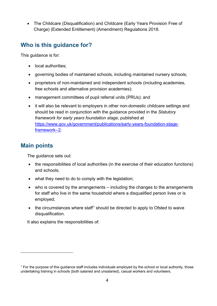• The Childcare (Disqualification) and Childcare (Early Years Provision Free of Charge) (Extended Entitlement) (Amendment) Regulations 2018.

# <span id="page-3-0"></span>**Who is this guidance for?**

This guidance is for:

- local authorities:
- governing bodies of maintained schools, including maintained nursery schools;
- proprietors of non-maintained and independent schools (including academies, free schools and alternative provision academies);
- management committees of pupil referral units (PRUs); and
- it will also be relevant to employers in other non-domestic childcare settings and should be read in conjunction with the guidance provided in the *Statutory framework for early years foundation stage*, published at [https://www.gov.uk/government/publications/early-years-foundation-stage](https://www.gov.uk/government/publications/early-years-foundation-stage-framework--2)[framework--2.](https://www.gov.uk/government/publications/early-years-foundation-stage-framework--2)

# <span id="page-3-1"></span>**Main points**

 $\overline{a}$ 

The guidance sets out:

- the responsibilities of local authorities (in the exercise of their education functions) and schools;
- what they need to do to comply with the legislation;
- who is covered by the arrangements including the changes to the arrangements for staff who live in the same household where a disqualified person lives or is employed;
- $\bullet$  the circumstances where staff<sup>[1](#page-3-2)</sup> should be directed to apply to Ofsted to waive disqualification.

It also explains the responsibilities of:

<span id="page-3-2"></span> $1$  For the purpose of this quidance staff includes individuals employed by the school or local authority, those undertaking training in schools (both salaried and unsalaried), casual workers and volunteers.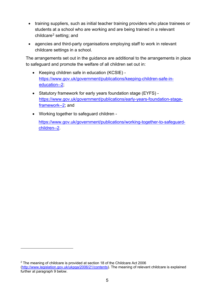- training suppliers, such as initial teacher training providers who place trainees or students at a school who are working and are being trained in a relevant childcare[2](#page-4-0) setting; and
- agencies and third-party organisations employing staff to work in relevant childcare settings in a school.

The arrangements set out in the guidance are additional to the arrangements in place to safeguard and promote the welfare of all children set out in:

- Keeping children safe in education (KCSIE) [https://www.gov.uk/government/publications/keeping-children-safe-in](https://www.gov.uk/government/publications/keeping-children-safe-in-education--2)[education--2;](https://www.gov.uk/government/publications/keeping-children-safe-in-education--2)
- Statutory framework for early years foundation stage (EYFS) [https://www.gov.uk/government/publications/early-years-foundation-stage](https://www.gov.uk/government/publications/early-years-foundation-stage-framework--2)[framework--2;](https://www.gov.uk/government/publications/early-years-foundation-stage-framework--2) and
- Working together to safeguard children -

 $\overline{a}$ 

[https://www.gov.uk/government/publications/working-together-to-safeguard](https://www.gov.uk/government/publications/working-together-to-safeguard-children--2)[children--2.](https://www.gov.uk/government/publications/working-together-to-safeguard-children--2)

<span id="page-4-0"></span><sup>&</sup>lt;sup>2</sup> The meaning of childcare is provided at section 18 of the Childcare Act 2006 [\(http://www.legislation.gov.uk/ukpga/2006/21/contents\)](http://www.legislation.gov.uk/ukpga/2006/21/contents). The meaning of relevant childcare is explained further at paragraph 9 below.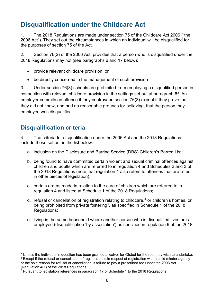# <span id="page-5-0"></span>**Disqualification under the Childcare Act**

1. The 2018 Regulations are made under section 75 of the Childcare Act 2006 ("the 2006 Act"). They set out the circumstances in which an individual will be disqualified for the purposes of section 75 of the Act.

2. Section 76(2) of the 2006 Act, provides that a person who is disqualified under the 2018 Regulations may not (see paragraphs 6 and 17 below):

- provide relevant childcare provision; or
- be directly concerned in the management of such provision

3. Under section 76(3) schools are prohibited from employing a disqualified person in connection with relevant childcare provision in the settings set out at paragraph  $6<sup>3</sup>$  $6<sup>3</sup>$  $6<sup>3</sup>$ . An employer commits an offence if they contravene section 76(3) except if they prove that they did not know, and had no reasonable grounds for believing, that the person they employed was disqualified.

# <span id="page-5-1"></span>**Disqualification criteria**

 $\overline{a}$ 

4. The criteria for disqualification under the 2006 Act and the 2018 Regulations include those set out in the list below:

- a. inclusion on the Disclosure and Barring Service (DBS) Children's Barred List;
- b. being found to have committed certain violent and sexual criminal offences against children and adults which are referred to in regulation 4 and Schedules 2 and 3 of the 2018 Regulations (note that regulation 4 also refers to offences that are listed in other pieces of legislation);
- c. certain orders made in relation to the care of children which are referred to in regulation 4 and listed at Schedule 1 of the 2018 Regulations;
- d. refusal or cancellation of registration relating to childcare, [4](#page-5-3) or children's homes, or being prohibited from private fostering<sup>[5](#page-5-4)</sup>, as specified in Schedule 1 of the 2018 Regulations;
- e. living in the same household where another person who is disqualified lives or is employed (disqualification 'by association') as specified in regulation 9 of the 2018

<span id="page-5-2"></span> $3$  Unless the individual in question has been granted a waiver for Ofsted for the role they wish to undertake.

<span id="page-5-3"></span><sup>4</sup> Except if the refusal or cancellation of registration is in respect of registration with a child minder agency or the sole reason for refusal or cancellation is failure to pay a prescribed fee under the 2006 Act (Regulation 4(1) of the 2018 Regulations).

<span id="page-5-4"></span> $<sup>5</sup>$  Pursuant to legislation references in paragraph 17 of Schedule 1 to the 2018 Regulations.</sup>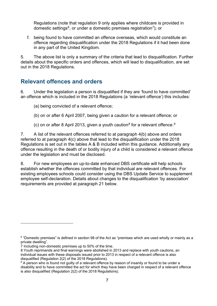Regulations (note that regulation 9 only applies where childcare is provided in domestic settings<sup>[6](#page-6-1)</sup>, or under a domestic premises registration<sup>7</sup>); or

f. being found to have committed an offence overseas, which would constitute an offence regarding disqualification under the 2018 Regulations if it had been done in any part of the United Kingdom.

5. The above list is only a summary of the criteria that lead to disqualification. Further details about the specific orders and offences, which will lead to disqualification, are set out in the 2018 Regulations.

### <span id="page-6-0"></span>**Relevant offences and orders**

6. Under the legislation a person is disqualified if they are 'found to have committed' an offence which is included in the 2018 Regulations (a 'relevant offence') this includes:

(a) being convicted of a relevant offence;

- (b) on or after 6 April 2007, being given a caution for a relevant offence; or
- (c) on or after [8](#page-6-3) April 2013, given a youth caution<sup>8</sup> for a relevant offence. <sup>[9](#page-6-4)</sup>

7. A list of the relevant offences referred to at paragraph 4(b) above and orders referred to at paragraph 4(c) above that lead to the disqualification under the 2018 Regulations is set out in the tables A & B included within this guidance. Additionally any offence resulting in the death of or bodily injury of a child is considered a relevant offence under the legislation and must be disclosed.

8. For new employees an up-to-date enhanced DBS certificate will help schools establish whether the offences committed by that individual are relevant offences. For existing employees schools could consider using the DBS Update Service to supplement employee self-declaration. Details about changes to the disqualification 'by association' requirements are provided at paragraph 21 below.

<span id="page-6-1"></span><sup>6</sup> "Domestic premises" is defined in section 98 of the Act as "premises which are used wholly or mainly as a private dwelling".

<span id="page-6-2"></span><sup>7</sup> Including non-domestic premises up to 50% of the time.

<span id="page-6-3"></span><sup>8</sup> Youth reprimands and final warnings were abolished in 2013 and replace with youth cautions, an individual issues with these disposals issued prior to 2013 in respect of a relevant offence is also disqualified (Regulation 2(2) of the 2018 Regulations).

<span id="page-6-4"></span><sup>&</sup>lt;sup>9</sup> A person who is found not guilty of a relevant offence by reason of insanity or found to be under a disability and to have committed the act for which they have been charged in respect of a relevant offence is also disqualified (Regulation 2(2) of the 2018 Regulations).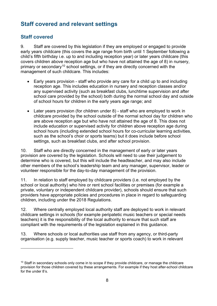# <span id="page-7-0"></span>**Staff covered and relevant settings**

### **Staff covered**

 $\overline{a}$ 

9. Staff are covered by this legislation if they are employed or engaged to provide early years childcare (this covers the age range from birth until 1 September following a child's fifth birthday i.e. up to and including reception year) or later years childcare (this covers children above reception age but who have not attained the age of 8) in nursery, primary or secondary<sup>[10](#page-7-1)</sup> school settings, or if they are directly concerned with the management of such childcare. This includes:

- Early years provision staff who provide any care for a child up to and including reception age. This includes education in nursery and reception classes and/or any supervised activity (such as breakfast clubs, lunchtime supervision and after school care provided by the school) both during the normal school day and outside of school hours for children in the early years age range; and
- Later years provision (for children under 8) staff who are employed to work in childcare provided by the school outside of the normal school day for children who are above reception age but who have not attained the age of 8. This does not include education or supervised activity for children above reception age during school hours (including extended school hours for co-curricular learning activities, such as the school's choir or sports teams) but it does include before school settings, such as breakfast clubs, and after school provision.

10. Staff who are directly concerned in the management of early or later years provision are covered by the legislation. Schools will need to use their judgement to determine who is covered, but this will include the headteacher, and may also include other members of the school's leadership team and any manager, supervisor, leader or volunteer responsible for the day-to-day management of the provision.

11. In relation to staff employed by childcare providers (i.e. not employed by the school or local authority) who hire or rent school facilities or premises (for example a private, voluntary or independent childcare provider), schools should ensure that such providers have appropriate policies and procedures in place in regard to safeguarding children, including under the 2018 Regulations.

12. Where centrally employed local authority staff are deployed to work in relevant childcare settings in schools (for example peripatetic music teachers or special needs teachers) it is the responsibility of the local authority to ensure that such staff are compliant with the requirements of the legislation explained in this guidance.

13. Where schools or local authorities use staff from any agency, or third-party organisation (e.g. supply teacher, music teacher or sports coach) to work in relevant

<span id="page-7-1"></span><sup>&</sup>lt;sup>10</sup> Staff in secondary schools only come in to scope if they provide childcare, or manage the childcare provision for those children covered by these arrangements. For example if they host after-school childcare for the under 8's.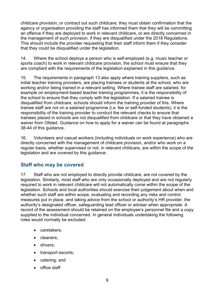childcare provision, or contract out such childcare, they must obtain confirmation that the agency or organisation providing the staff has informed them that they will be committing an offence if they are deployed to work in relevant childcare, or are directly concerned in the management of such provision, if they are disqualified under the 2018 Regulations. This should include the provider requesting that their staff inform them if they consider that they could be disqualified under the legislation.

14. Where the school deploys a person who is self-employed (e.g. music teacher or sports coach) to work in relevant childcare provision, the school must ensure that they are compliant with the requirements of the legislation explained in this guidance.

15. The requirements in paragraph 13 also apply where training suppliers, such as initial teacher training providers, are placing trainees or students at the school, who are working and/or being trained in a relevant setting. Where trainee staff are salaried, for example on employment-based teacher training programmes, it is the responsibility of the school to ensure that they comply with the legislation. If a salaried trainee is disqualified from childcare, schools should inform the training provider of this. Where trainee staff are not on a salaried programme (i.e. fee or self-funded students), it is the responsibility of the training provider to conduct the relevant checks to ensure that trainees placed in schools are not disqualified from childcare or that they have obtained a waiver from Ofsted. Guidance on how to apply for a waiver can be found at paragraphs 38-44 of this guidance.

16. Volunteers and casual workers (including individuals on work experience) who are directly concerned with the management of childcare provision, and/or who work on a regular basis, whether supervised or not, in relevant childcare, are within the scope of the legislation and are covered by this guidance.

#### **Staff who may be covered**

17. Staff who are not employed to directly provide childcare, are not covered by the legislation. Similarly, most staff who are only occasionally deployed and are not regularly required to work in relevant childcare will not automatically come within the scope of the legislation. Schools and local authorities should exercise their judgement about when and whether such staff are within scope, evaluating and recording any risks and control measures put in place, and taking advice from the school or authority's HR provider, the authority's designated officer, safeguarding lead officer or adviser when appropriate. A record of the assessment should be retained on the employee's personnel file and a copy supplied to the individual concerned. In general individuals undertaking the following roles would normally be excluded:

- caretakers;
- cleaners;
- drivers;
- transport escorts;
- catering; and
- office staff.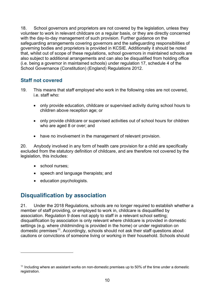18. School governors and proprietors are not covered by the legislation, unless they volunteer to work in relevant childcare on a regular basis, or they are directly concerned with the day-to-day management of such provision. Further guidance on the safeguarding arrangements covering governors and the safeguarding responsibilities of governing bodies and proprietors is provided in KCSIE. Additionally it should be noted that, whilst out of scope of these regulations, school governors in maintained schools are also subject to additional arrangements and can also be disqualified from holding office (i.e. being a governor in maintained schools) under regulation 17, schedule 4 of the School Governance (Constitution) (England) Regulations 2012.

#### **Staff not covered**

- 19. This means that staff employed who work in the following roles are not covered, i.e. staff who:
	- only provide education, childcare or supervised activity during school hours to children above reception age; or
	- only provide childcare or supervised activities out of school hours for children who are aged 8 or over; and
	- have no involvement in the management of relevant provision.

20. Anybody involved in any form of health care provision for a child are specifically excluded from the statutory definition of childcare, and are therefore not covered by the legislation, this includes:

• school nurses:

 $\overline{a}$ 

- speech and language therapists; and
- education psychologists.

### <span id="page-9-0"></span>**Disqualification by association**

21. Under the 2018 Regulations, schools are no longer required to establish whether a member of staff providing, or employed to work in, childcare is disqualified by association. Regulation 9 does not apply to staff in a relevant school setting; disqualification by association is only relevant where childcare is provided in domestic settings (e.g. where childminding is provided in the home) or under registration on domestic premises<sup>[11](#page-9-1)</sup>. Accordingly, schools should not ask their staff questions about cautions or convictions of someone living or working in their household. Schools should

<span id="page-9-1"></span> $11$  Including where an assistant works on non-domestic premises up to 50% of the time under a domestic registration.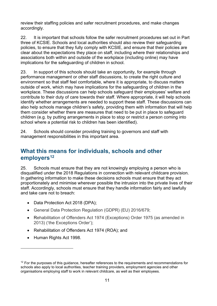review their staffing policies and safer recruitment procedures, and make changes accordingly.

22. It is important that schools follow the safer recruitment procedures set out in Part three of KCSIE. Schools and local authorities should also review their safeguarding policies, to ensure that they fully comply with KCSIE, and ensure that their policies are clear about the expectations they place on staff, including where their relationships and associations both within and outside of the workplace (including online) may have implications for the safeguarding of children in school.

23. In support of this schools should take an opportunity, for example through performance management or other staff discussions, to create the right culture and environment so that staff feel comfortable, where it is appropriate, to discuss matters outside of work, which may have implications for the safeguarding of children in the workplace. These discussions can help schools safeguard their employees' welfare and contribute to their duty of care towards their staff. Where appropriate, it will help schools identify whether arrangements are needed to support these staff. These discussions can also help schools manage children's safety, providing them with information that will help them consider whether there are measures that need to be put in place to safeguard children (e.g. by putting arrangements in place to stop or restrict a person coming into school where a potential risk to children has been identified).

24. Schools should consider providing training to governors and staff with management responsibilities in this important area.

### <span id="page-10-0"></span>**What this means for individuals, schools and other employers[12](#page-10-1)**

25. Schools must ensure that they are not knowingly employing a person who is disqualified under the 2018 Regulations in connection with relevant childcare provision. In gathering information to make these decisions schools must ensure that they act proportionately and minimise wherever possible the intrusion into the private lives of their staff. Accordingly, schools must ensure that they handle information fairly and lawfully and take care not to breach:

- Data Protection Act 2018 (DPA);
- General Data Protection Regulation (GDPR) (EU) 2016/679;
- Rehabilitation of Offenders Act 1974 (Exceptions) Order 1975 (as amended in 2013) ('the Exceptions Order');
- Rehabilitation of Offenders Act 1974 (ROA); and
- Human Rights Act 1998.

<span id="page-10-1"></span><sup>&</sup>lt;sup>12</sup> For the purposes of this guidance, hereafter references to the requirements and recommendations for schools also apply to local authorities, teacher training providers, employment agencies and other organisations employing staff to work in relevant childcare, as well as their employees.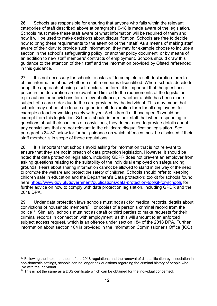26. Schools are responsible for ensuring that anyone who falls within the relevant categories of staff described above at paragraphs 9-18 is made aware of the legislation. Schools must make these staff aware of what information will be required of them and how it will be used to make decisions about disqualification. Schools are free to decide how to bring these requirements to the attention of their staff. As a means of making staff aware of their duty to provide such information, they may for example choose to include a section in the school's safeguarding policy, or another policy document, or by means of an addition to new staff members' contracts of employment. Schools should draw this guidance to the attention of their staff and the information provided by Ofsted referenced in this guidance.

27. It is not necessary for schools to ask staff to complete a self-declaration form to obtain information about whether a staff member is disqualified. Where schools decide to adopt the approach of using a self-declaration form, it is important that the questions posed in the declaration are relevant and limited to the requirements of the legislation, e.g. cautions or convictions for a relevant offence; or whether a child has been made subject of a care order due to the care provided by the individual. This may mean that schools may not be able to use a generic self-declaration form for all employees, for example a teacher working solely with year 5 children (i.e. those aged 9) would be exempt from this legislation. Schools should inform their staff that when responding to questions about their cautions or convictions, they do not need to provide details about any convictions that are not relevant to the childcare disqualification legislation. See paragraphs 34-37 below for further guidance on which offences must be disclosed if their staff member is in scope of these regulations.

28. It is important that schools avoid asking for information that is not relevant to ensure that they are not in breach of data protection legislation. However, it should be noted that data protection legislation, including GDPR does not prevent an employer from asking questions relating to the suitability of the individual employed on safeguarding grounds. Fears about sharing information cannot be allowed to stand in the way of the need to promote the welfare and protect the safety of children. Schools should refer to Keeping children safe in education and the Department's Data protection: toolkit for schools found here<https://www.gov.uk/government/publications/data-protection-toolkit-for-schools> for further advice on how to comply with data protection legislation, including GPDR and the 2018 DPA.

29. Under data protection laws schools must not ask for medical records, details about convictions of household members<sup>13</sup>, or copies of a person's criminal record from the police<sup>[14](#page-11-1)</sup>. Similarly, schools must not ask staff or third parties to make requests for their criminal records in connection with employment, as this will amount to an enforced subject access request, which is an offence under section 184 of the 2018 DPA. Further information about section 184 is provided in the Information Commissioner's Office [\(ICO\)](https://ico.org.uk/for-organisations/enforced-sar)

<span id="page-11-0"></span><sup>&</sup>lt;sup>13</sup> Following the implementation of the 2018 regulations and the removal of disqualification by association in non-domestic settings, schools can no longer ask questions regarding the criminal history of people who live with the individual.

<span id="page-11-1"></span><sup>&</sup>lt;sup>14</sup> This is not the same as a DBS certificate which can be obtained for the individual concerned.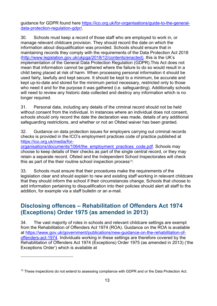guidance for GDPR found here [https://ico.org.uk/for-organisations/guide-to-the-general](https://ico.org.uk/for-organisations/guide-to-the-general-data-protection-regulation-gdpr/)[data-protection-regulation-gdpr/.](https://ico.org.uk/for-organisations/guide-to-the-general-data-protection-regulation-gdpr/)

30. Schools must keep a record of those staff who are employed to work in, or manage relevant childcare provision. They should record the date on which the information about disqualification was provided. Schools should ensure that in maintaining records they comply with the requirements of the Data Protection Act 2018 [\(http://www.legislation.gov.uk/ukpga/2018/12/contents/enacted\)](http://www.legislation.gov.uk/ukpga/2018/12/contents/enacted), this is the UK's implementation of the General Data Protection Regulation (GDPR).This Act does not mean that information cannot be gathered where the failure to do so would result in a child being placed at risk of harm. When processing personal information it should be used fairly, lawfully and kept secure. It should be kept to a minimum, be accurate and kept up-to-date and stored for the minimum period necessary, restricted only to those who need it and for the purpose it was gathered (i.e. safeguarding). Additionally schools will need to review any historic data collected and destroy any information which is no longer required.

31. Personal data, including any details of the criminal record should not be held without consent from the individual. In instances where an individual does not consent, schools should only record the date the declaration was made, details of any additional safeguarding restrictions, and whether or not an Ofsted waiver has been granted.

32. Guidance on data protection issues for employers carrying out criminal records checks is provided in the ICO's employment practices code of practice published at [https://ico.org.uk/media/for-](https://ico.org.uk/media/for-organisations/documents/1064/the_employment_practices_code.pdf)

[organisations/documents/1064/the\\_employment\\_practices\\_code.pdf.](https://ico.org.uk/media/for-organisations/documents/1064/the_employment_practices_code.pdf) Schools may choose to keep details of their checks as part of the single central record, or they may retain a separate record. Ofsted and the Independent School Inspectorates will check this as part of the their routine school inspection process<sup>15</sup>.

33. Schools must ensure that their procedures make the requirements of the legislation clear and should explain to new and existing staff working in relevant childcare that they should inform the school if their circumstances change. Schools that choose to add information pertaining to disqualification into their policies should alert all staff to the addition, for example via a staff bulletin or an e-mail.

### <span id="page-12-0"></span>**Disclosing offences – Rehabilitation of Offenders Act 1974 (Exceptions) Order 1975 (as amended in 2013)**

34. The vast majority of roles in schools and relevant childcare settings are exempt from the Rehabilitation of Offenders Act 1974 (ROA). Guidance on the ROA is available at [https://www.gov.uk/government/publications/new-guidance-on-the-rehabilitation-of](https://www.gov.uk/government/publications/new-guidance-on-the-rehabilitation-of-offenders-act-1974)[offenders-act-1974.](https://www.gov.uk/government/publications/new-guidance-on-the-rehabilitation-of-offenders-act-1974) Individuals working in these settings are therefore covered by the [Rehabilitation of Offenders Act 1974 \(Exceptions\) Order 1975 \(as amended in 2013\)](https://www.legislation.gov.uk/ukdsi/2013/9780111537718/contents) ('the Exceptions Order') which is available at

<span id="page-12-1"></span><sup>&</sup>lt;sup>15</sup> These inspections do not extend to assessing compliance with GDPR and or the Data Protection Act.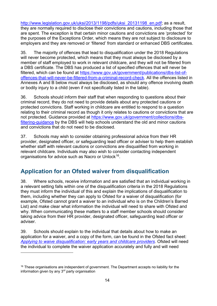[http://www.legislation.gov.uk/uksi/2013/1198/pdfs/uksi\\_20131198\\_en.pdf;](http://www.legislation.gov.uk/uksi/2013/1198/pdfs/uksi_20131198_en.pdf) as a result, they are normally required to disclose their convictions and cautions, including those that are spent. The exception is that certain minor cautions and convictions are 'protected' for the purposes of the Exceptions Order, which means they are not subject to disclosure to employers and they are removed or 'filtered' from standard or enhanced DBS certificates.

35. The majority of offences that lead to disqualification under the 2018 Regulations will never become protected, which means that they must always be disclosed by a member of staff employed to work in relevant childcare, and they will not be filtered from a DBS certificate. The DBS has produced a list of specified offences that will never be filtered, which can be found at [https://www.gov.uk/government/publications/dbs-list-of](https://www.gov.uk/government/publications/dbs-list-of-offences-that-will-never-be-filtered-from-a-criminal-record-check)[offences-that-will-never-be-filtered-from-a-criminal-record-check.](https://www.gov.uk/government/publications/dbs-list-of-offences-that-will-never-be-filtered-from-a-criminal-record-check) All the offences listed in Annexes A and B below must always be disclosed, as should any offence involving death or bodily injury to a child (even if not specifically listed in the table).

36. Schools should inform their staff that when responding to questions about their criminal record, they do not need to provide details about any protected cautions or protected convictions. Staff working in childcare are entitled to respond to a question relating to their criminal record as though it only relates to cautions or convictions that are not protected. Guidance provided at [https://www.gov.uk/government/collections/dbs](https://www.gov.uk/government/collections/dbs-filtering-guidance)[filtering-guidance](https://www.gov.uk/government/collections/dbs-filtering-guidance) by the DBS will help schools understand the old and minor cautions and convictions that do not need to be disclosed.

37. Schools may wish to consider obtaining professional advice from their HR provider, designated officer, or safeguarding lead officer or adviser to help them establish whether staff with relevant cautions or convictions are disqualified from working in relevant childcare. Individuals may also wish to consider contacting independent organisations for advice such as Nacro or Unlock<sup>16</sup>.

### <span id="page-13-0"></span>**Application for an Ofsted waiver from disqualification**

38. Where schools, receive information and are satisfied that an individual working in a relevant setting falls within one of the disqualification criteria in the 2018 Regulations they must inform the individual of this and explain the implications of disqualification to them, including whether they can apply to Ofsted for a waiver of disqualification (for example, Ofsted cannot grant a waiver to an individual who is on the Children's Barred List) and make clear what information the individual will need to share with Ofsted and why. When communicating these matters to a staff member schools should consider taking advice from their HR provider, designated officer, safeguarding lead officer or adviser.

39. Schools should explain to the individual that details about how to make an application for a waiver, and a copy of the form, can be found in the Ofsted fact sheet: [Applying to waive disqualification: early years and childcare providers.](http://www.ofsted.gov.uk/resources/applying-waive-disqualification-early-years-and-childcare-providers) Ofsted will need the individual to complete the waiver application accurately and fully and will need

<span id="page-13-1"></span><sup>&</sup>lt;sup>16</sup> These organisations are independent of government. The Department accepts no liability for the information given by any 3rd party organisation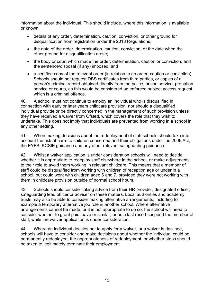information about the individual. This should include, where this information is available or known:

- details of any order, determination, caution, conviction, or other ground for disqualification from registration under the 2018 Regulations;
- the date of the order, determination, caution, conviction, or the date when the other ground for disqualification arose;
- the body or court which made the order, determination, caution or conviction, and the sentence/disposal (if any) imposed; and
- a certified copy of the relevant order (in relation to an order, caution or conviction). Schools should not request DBS certificates from third parties, or copies of a person's criminal record obtained directly from the police, prison service, probation service or courts, as this would be considered an enforced subject access request, which is a criminal offence.

40. A school must not continue to employ an individual who is disqualified in connection with early or later years childcare provision, nor should a disqualified individual provide or be directly concerned in the management of such provision unless they have received a waiver from Ofsted, which covers the role that they wish to undertake. This does not imply that individuals are prevented from working in a school in any other setting.

41. When making decisions about the redeployment of staff schools should take into account the risk of harm to children concerned and their obligations under the 2006 Act, the EYFS, KCSIE guidance and any other relevant safeguarding guidance.

42. Whilst a waiver application is under consideration schools will need to decide whether it is appropriate to redeploy staff elsewhere in the school, or make adjustments to their role to avoid them working in relevant childcare. This means that a member of staff could be disqualified from working with children of reception age or under in a school, but could work with children aged 6 and 7, provided they were not working with them in childcare provision outside of normal school hours.

43. Schools should consider taking advice from their HR provider, designated officer, safeguarding lead officer or adviser on these matters. Local authorities and academy trusts may also be able to consider making alternative arrangements, including for example a temporary alternative job role in another school. Where alternative arrangements cannot be made, or it is not appropriate to do so, the school will need to consider whether to grant paid leave or similar, or as a last resort suspend the member of staff, while the waiver application is under consideration.

44. Where an individual decides not to apply for a waiver, or a waiver is declined, schools will have to consider and make decisions about whether the individual could be permanently redeployed, the appropriateness of redeployment, or whether steps should be taken to legitimately terminate their employment.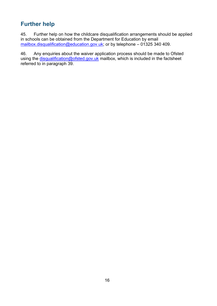# <span id="page-15-0"></span>**Further help**

45. Further help on how the childcare disqualification arrangements should be applied in schools can be obtained from the Department for Education by email [mailbox.disqualification@education.gov.uk;](mailto:mailbox.disqualification@education.gov.uk) or by telephone – 01325 340 409.

46. Any enquiries about the waiver application process should be made to Ofsted using the [disqualification@ofsted.gov.uk](mailto:disqualification@ofsted.gov.uk) mailbox, which is included in the factsheet referred to in paragraph 39.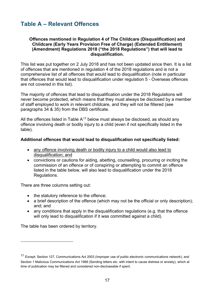# <span id="page-16-0"></span>**Table A – Relevant Offences**

#### **Offences mentioned in Regulation 4 of The Childcare (Disqualification) and Childcare (Early Years Provision Free of Charge) (Extended Entitlement) (Amendment) Regulations 2018 ("the 2018 Regulations") that will lead to disqualification.**

This list was put together on 2 July 2018 and has not been updated since then. It is a list of offences that are mentioned in regulation 4 of the 2018 regulations and is not a comprehensive list of all offences that would lead to disqualification (note in particular that offences that would lead to disqualification under regulation 5 - Overseas offences are not covered in this list).

The majority of offences that lead to disqualification under the 2018 Regulations will never become protected, which means that they must always be disclosed by a member of staff employed to work in relevant childcare, and they will not be filtered (see paragraphs 34 & 35) from the DBS certificate.

All the offences listed in Table  $A^{17}$  $A^{17}$  $A^{17}$  below must always be disclosed, as should any offence involving death or bodily injury to a child (even if not specifically listed in the table).

#### **Additional offences that would lead to disqualification not specifically listed:**

- any offence involving death or bodily injury to a child would also lead to disqualification; and
- convictions or cautions for aiding, abetting, counselling, procuring or inciting the commission of an offence or of conspiring or attempting to commit an offence listed in the table below, will also lead to disqualification under the 2018 Regulations.

There are three columns setting out:

- the statutory reference to the offence;
- a brief description of the offence (which may not be the official or only description): and; and
- any conditions that apply in the disqualification regulations (e.g. that the offence will only lead to disqualification if it was committed against a child).

The table has been ordered by territory.

<span id="page-16-1"></span><sup>17</sup> Except: Section 127, Communications Act 2003 (Improper use of public electronic communications network), and Section 1 Malicious Communications Act 1988 (Sending letters etc. with intent to cause distress or anxiety), which at time of publication may be filtered and considered non-discloseable if spent.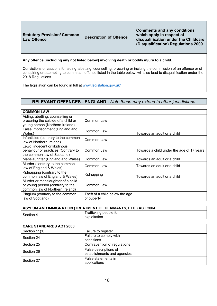| <b>Statutory Provision/ Common</b><br><b>Law Offence</b> | <b>Description of Offence</b> | <b>Comments and any conditions</b><br>which apply in respect of<br>disqualification under the Childcare<br>(Disqualification) Regulations 2009 |
|----------------------------------------------------------|-------------------------------|------------------------------------------------------------------------------------------------------------------------------------------------|
|                                                          |                               |                                                                                                                                                |

**Any offence (including any not listed below) involving death or bodily injury to a child.**

Convictions or cautions for aiding, abetting, counselling, procuring or inciting the commission of an offence or of conspiring or attempting to commit an offence listed in the table below, will also lead to disqualification under the 2018 Regulations.

The legislation can be found in full at [www.legislation.gov.uk/](http://www.legislation.gov.uk/)

#### **RELEVANT OFFENCES - ENGLAND -** *Note these may extend to other jurisdictions*

| <b>COMMON LAW</b>                                                                                          |                                              |                                           |
|------------------------------------------------------------------------------------------------------------|----------------------------------------------|-------------------------------------------|
| Aiding, abetting, counselling or<br>procuring the suicide of a child or<br>young person (Northern Ireland) | Common Law                                   |                                           |
| False Imprisonment (England and<br>Wales)                                                                  | Common Law                                   | Towards an adult or a child               |
| Infanticide (contrary to the common<br>law of Northern Ireland)                                            | Common Law                                   |                                           |
| Lewd, indecent or libidinous<br>behaviour or practices (Contrary to<br>the common law of Scotland)         | Common Law                                   | Towards a child under the age of 17 years |
| Manslaughter (England and Wales)                                                                           | Common Law                                   | Towards an adult or a child               |
| Murder (contrary to the common<br>law of England & Wales)                                                  | Common Law                                   | Towards an adult or a child               |
| Kidnapping (contrary to the<br>common law of England & Wales)                                              | Kidnapping                                   | Towards an adult or a child               |
| Murder or manslaughter of a child<br>or young person (contrary to the<br>common law of Northern Ireland)   | Common Law                                   |                                           |
| Plagium (contrary to the common<br>law of Scotland)                                                        | Theft of a child below the age<br>of puberty |                                           |

| ASYLUM AND IMMIGRATION (TREATMENT OF CLAIMANTS, ETC.) ACT 2004 |                                        |  |
|----------------------------------------------------------------|----------------------------------------|--|
| Section 4                                                      | Trafficking people for<br>exploitation |  |

| <b>CARE STANDARDS ACT 2000</b> |                                                      |  |
|--------------------------------|------------------------------------------------------|--|
| Section 11(1)                  | Failure to register                                  |  |
| Section 24                     | Failure to comply with                               |  |
|                                | conditions                                           |  |
| Section 25                     | Contravention of regulations                         |  |
| Section 26                     | False descriptions of<br>establishments and agencies |  |
| Section 27                     | False statements in<br>applications                  |  |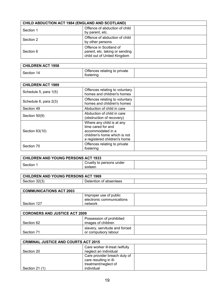| <b>CHILD ABDUCTION ACT 1984 (ENGLAND AND SCOTLAND)</b> |                                                                                         |  |
|--------------------------------------------------------|-----------------------------------------------------------------------------------------|--|
| Section 1                                              | Offence of abduction of child<br>by parent, etc.                                        |  |
| Section 2                                              | Offence of abduction of child<br>by other persons                                       |  |
| Section 6                                              | Offence in Scotland of<br>parent, etc. taking or sending<br>child out of United Kingdom |  |

| <b>CHILDREN ACT 1958</b> |                                           |  |
|--------------------------|-------------------------------------------|--|
| Section 14               | Offences relating to private<br>tostering |  |

| <b>CHILDREN ACT 1989</b> |                                                                                                                                      |  |
|--------------------------|--------------------------------------------------------------------------------------------------------------------------------------|--|
| Schedule 5, para 1(5)    | Offences relating to voluntary<br>homes and children's homes                                                                         |  |
| Schedule 6, para 2(3)    | Offences relating to voluntary<br>homes and children's homes                                                                         |  |
| Section 49               | Abduction of child in care                                                                                                           |  |
| Section 50(9)            | Abduction of child in care<br>(obstruction of recovery)                                                                              |  |
| Section 63(10)           | Where any child is at any<br>time cared for and<br>accommodated in a<br>children's home which is not<br>a registered children's home |  |
| Section 70               | Offences relating to private<br>fostering                                                                                            |  |

| CHILDREN AND YOUNG PERSONS ACT 1933 |                                     |  |
|-------------------------------------|-------------------------------------|--|
| Section                             | Cruelty to persons under<br>sixteen |  |

| CHILDREN AND YOUNG PERSONS ACT 1969 |                        |  |
|-------------------------------------|------------------------|--|
| Section 32(3)                       | Detention of absentees |  |

| COMMUNICATIONS ACT 2003 |                           |  |
|-------------------------|---------------------------|--|
|                         | Improper use of public    |  |
|                         | electronic communications |  |
| Section 127             | network                   |  |

| <b>CORONERS AND JUSTICE ACT 2009</b> |                                                       |  |
|--------------------------------------|-------------------------------------------------------|--|
| Section 62                           | Possession of prohibited<br>images of children        |  |
| Section 71                           | slavery, servitude and forced<br>or compulsory labour |  |

| <b>CRIMINAL JUSTICE AND COURTS ACT 2015</b> |                                                                                |  |
|---------------------------------------------|--------------------------------------------------------------------------------|--|
| Section 20                                  | Care worker ill-treat /wilfully<br>neglect an individual                       |  |
|                                             | Care provider breach duty of<br>care resulting in ill-<br>treatment/neglect of |  |
| Section $21(1)$                             | individual                                                                     |  |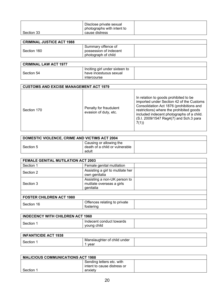|            | Disclose private sexual<br>photographs with intent to |  |
|------------|-------------------------------------------------------|--|
| Section 33 | cause distress                                        |  |

| <b>CRIMINAL JUSTICE ACT 1988</b> |                        |  |
|----------------------------------|------------------------|--|
|                                  | Summary offence of     |  |
| Section 160                      | possession of indecent |  |
|                                  | photograph of child    |  |

| <b>CRIMINAL LAW ACT 1977</b> |                                |  |
|------------------------------|--------------------------------|--|
|                              | Inciting girl under sixteen to |  |
| Section 54                   | have incestuous sexual         |  |
|                              | <b>Intercourse</b>             |  |

|             | <b>CUSTOMS AND EXCISE MANAGEMENT ACT 1979</b>   |                                                                                                                                                                                                                                                                          |  |
|-------------|-------------------------------------------------|--------------------------------------------------------------------------------------------------------------------------------------------------------------------------------------------------------------------------------------------------------------------------|--|
| Section 170 | Penalty for fraudulent<br>evasion of duty, etc. | In relation to goods prohibited to be<br>imported under Section 42 of the Customs<br>Consolidation Act 1876 (prohibitions and<br>restrictions) where the prohibited goods<br>included indecent photographs of a child.<br>(S.I. 2009/1547 Reg4(7) and Sch.3 para<br>7(1) |  |

| <b>DOMESTIC VIOLENCE, CRIME AND VICTIMS ACT 2004</b> |                                                                    |  |
|------------------------------------------------------|--------------------------------------------------------------------|--|
| Section 5                                            | Causing or allowing the<br>death of a child or vulnerable<br>adult |  |

| FEMALE GENITAL MUTILATION ACT 2003 |                                                                        |  |
|------------------------------------|------------------------------------------------------------------------|--|
| Section 1                          | Female genital mutilation                                              |  |
| Section 2                          | Assisting a girl to mutilate her<br>own genitalia                      |  |
| Section 3                          | Assisting a non-UK person to<br>mutilate overseas a girls<br>genitalia |  |
|                                    |                                                                        |  |
| <b>FOSTER CHILDREN ACT 1980</b>    |                                                                        |  |
| Section 16                         | Offences relating to private<br>fostering                              |  |

| <b>INDECENCY WITH CHILDREN ACT 1960</b> |                                         |  |
|-----------------------------------------|-----------------------------------------|--|
| Section 1                               | Indecent conduct towards<br>voung child |  |

| <b>INFANTICIDE ACT 1938</b> |                                     |  |
|-----------------------------|-------------------------------------|--|
| Section                     | Manslaughter of child under<br>vear |  |

| <b>MALICIOUS COMMUNICATIONS ACT 1988</b> |                             |  |
|------------------------------------------|-----------------------------|--|
|                                          | Sending letters etc. with   |  |
|                                          | intent to cause distress or |  |
| Section 1                                | anxiety                     |  |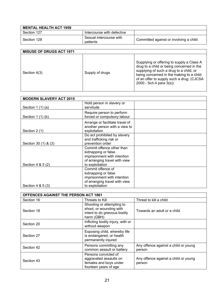| <b>MENTAL HEALTH ACT 1959</b> |                                     |                                        |
|-------------------------------|-------------------------------------|----------------------------------------|
| Section 127                   | Intercourse with defective          |                                        |
| Section 128                   | Sexual intercourse with<br>patients | Committed against or involving a child |

| <b>MISUSE OF DRUGS ACT 1971</b> |                 |                                                                                                                                                                                                                                                       |
|---------------------------------|-----------------|-------------------------------------------------------------------------------------------------------------------------------------------------------------------------------------------------------------------------------------------------------|
| Section 4(3)                    | Supply of drugs | Supplying or offering to supply a Class A<br>drug to a child or being concerned in the<br>supplying of such a drug to a child, or<br>being concerned in the making to a child<br>of an offer to supply such a drug. (CJCSA<br>2000 - Sch.4 para 3(s)) |

| <b>MODERN SLAVERY ACT 2015</b> |                                                                                                                                     |  |
|--------------------------------|-------------------------------------------------------------------------------------------------------------------------------------|--|
| Section $1(1)(a)$              | Hold person in slavery or<br>servitude                                                                                              |  |
| Section $1(1)(b)$              | Require person to perform<br>forced or compulsory labour                                                                            |  |
| Section 2 (1)                  | Arrange or facilitate travel of<br>another person with a view to<br>exploitation                                                    |  |
| Section 30 (1) & (3)           | Do act prohibited by slavery<br>and trafficking risk or<br>prevention order                                                         |  |
| Section 4 & 5 (2)              | Commit offence other than<br>kidnapping or false<br>imprisonment with intention<br>of arranging travel with view<br>to exploitation |  |
| Section 4 & 5 (3)              | Commit offence of<br>kidnapping or false<br>imprisonment with intention<br>of arranging travel with view<br>to exploitation         |  |

| OFFENCES AGAINST THE PERSON ACT 1861 |                                                                                                    |                                                |
|--------------------------------------|----------------------------------------------------------------------------------------------------|------------------------------------------------|
| Section 16                           | Threats to Kill                                                                                    | Threat to kill a child                         |
| Section 18                           | Shooting or attempting to<br>shoot, or wounding with<br>intent to do grievous bodily<br>harm (GBH) | Towards an adult or a child                    |
| Section 20                           | Inflicting bodily injury, with or<br>without weapon                                                |                                                |
| Section 27                           | Exposing child, whereby life<br>is endangered, or health<br>permanently injured                    |                                                |
| Section 42                           | Persons committing any<br>common assault or battery                                                | Any offence against a child or young<br>person |
| Section 43                           | Persons convicted of<br>aggravated assaults on<br>females and boys under<br>fourteen years of age  | Any offence against a child or young<br>person |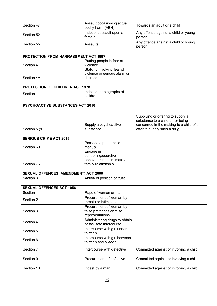| Section 47 | Assault occasioning actual<br>bodily harm (ABH) | Towards an adult or a child                    |
|------------|-------------------------------------------------|------------------------------------------------|
| Section 52 | Indecent assault upon a<br>female               | Any offence against a child or young<br>person |
| Section 55 | Assaults                                        | Any offence against a child or young<br>person |

| <b>PROTECTION FROM HARRASSMENT ACT 1997</b> |                              |  |
|---------------------------------------------|------------------------------|--|
|                                             | Putting people in fear of    |  |
| Section 4                                   | violence                     |  |
|                                             | Stalking involving fear of   |  |
|                                             | violence or serious alarm or |  |
| Section 4A                                  | distress                     |  |

| <b>PROTECTION OF CHILDREN ACT 1978</b> |                                     |  |
|----------------------------------------|-------------------------------------|--|
| Section                                | Indecent photographs of<br>children |  |

| <b>PSYCHOACTIVE SUBSTANCES ACT 2016</b> |                                    |                                                                                                                                                    |
|-----------------------------------------|------------------------------------|----------------------------------------------------------------------------------------------------------------------------------------------------|
| Section 5 (1)                           | Supply a psychoactive<br>substance | Supplying or offering to supply a<br>substance to a child or, or being<br>concerned in the making to a child of an<br>offer to supply such a drug. |

| <b>SERIOUS CRIME ACT 2015</b> |                            |  |
|-------------------------------|----------------------------|--|
|                               | Possess a paedophile       |  |
| Section 69                    | manual                     |  |
|                               | Engage in                  |  |
|                               | controlling/coercive       |  |
|                               | behaviour in an intimate / |  |
| Section 76                    | family relationship        |  |

| SEXUAL OFFENCES (AMENDMENT) ACT 2000 |                            |  |
|--------------------------------------|----------------------------|--|
| Section                              | Abuse of position of trust |  |

| <b>SEXUAL OFFENCES ACT 1956</b> |                                                                        |                                        |
|---------------------------------|------------------------------------------------------------------------|----------------------------------------|
| Section 1                       | Rape of woman or man                                                   |                                        |
| Section 2                       | Procurement of woman by<br>threats or intimidation                     |                                        |
| Section 3                       | Procurement of woman by<br>false pretences or false<br>representations |                                        |
| Section 4                       | Administering drugs to obtain<br>or facilitate intercourse             |                                        |
| Section 5                       | Intercourse with girl under<br>thirteen                                |                                        |
| Section 6                       | Intercourse with girl between<br>thirteen and sixteen                  |                                        |
| Section 7                       | Intercourse with defective                                             | Committed against or involving a child |
| Section 9                       | Procurement of defective                                               | Committed against or involving a child |
| Section 10                      | Incest by a man                                                        | Committed against or involving a child |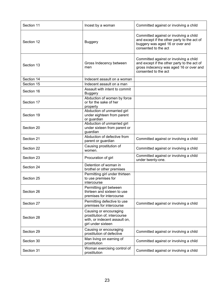| Section 11 | Incest by a woman                                                                                             | Committed against or involving a child                                                                                                                   |
|------------|---------------------------------------------------------------------------------------------------------------|----------------------------------------------------------------------------------------------------------------------------------------------------------|
| Section 12 | <b>Buggery</b>                                                                                                | Committed against or involving a child<br>and except if the other party to the act of<br>buggery was aged 16 or over and<br>consented to the act         |
| Section 13 | Gross Indecency between<br>men                                                                                | Committed against or involving a child<br>and except if the other party to the act of<br>gross indecency was aged 16 or over and<br>consented to the act |
| Section 14 | Indecent assault on a woman                                                                                   |                                                                                                                                                          |
| Section 15 | Indecent assault on a man                                                                                     |                                                                                                                                                          |
| Section 16 | Assault with intent to commit<br><b>Buggery</b>                                                               |                                                                                                                                                          |
| Section 17 | Abduction of women by force<br>or for the sake of her<br>property                                             |                                                                                                                                                          |
| Section 19 | Abduction of unmarried girl<br>under eighteen from parent<br>or guardian                                      |                                                                                                                                                          |
| Section 20 | Abduction of unmarried girl<br>under sixteen from parent or<br>guardian                                       |                                                                                                                                                          |
| Section 21 | Abduction of defective from<br>parent or guardian                                                             | Committed against or involving a child                                                                                                                   |
| Section 22 | Causing prostitution of<br>women.                                                                             | Committed against or involving a child                                                                                                                   |
| Section 23 | Procuration of girl                                                                                           | Committed against or involving a child<br>under twenty-one.                                                                                              |
| Section 24 | Detention of woman in<br>brothel or other premises                                                            |                                                                                                                                                          |
| Section 25 | Permitting girl under thirteen<br>to use premises for<br>intercourse                                          |                                                                                                                                                          |
| Section 26 | Permitting girl between<br>thirteen and sixteen to use<br>premises for intercourse                            |                                                                                                                                                          |
| Section 27 | Permitting defective to use<br>premises for intercourse                                                       | Committed against or involving a child                                                                                                                   |
| Section 28 | Causing or encouraging<br>prostitution of, intercourse<br>with, or indecent assault on,<br>girl under sixteen |                                                                                                                                                          |
| Section 29 | Causing or encouraging<br>prostitution of defective                                                           | Committed against or involving a child                                                                                                                   |
| Section 30 | Man living on earning of<br>prostitution                                                                      | Committed against or involving a child                                                                                                                   |
| Section 31 | Woman exercising control of<br>prostitution                                                                   | Committed against or involving a child                                                                                                                   |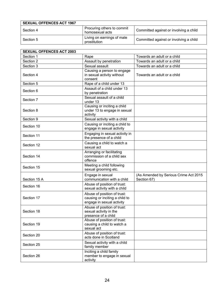| <b>SEXUAL OFFENCES ACT 1967</b> |                                               |                                        |
|---------------------------------|-----------------------------------------------|----------------------------------------|
| Section 4                       | Procuring others to commit<br>homosexual acts | Committed against or involving a child |
| Section 5                       | Living on earnings of male<br>prostitution    | Committed against or involving a child |

| <b>SEXUAL OFFENCES ACT 2003</b> |                                                                                            |                                                      |
|---------------------------------|--------------------------------------------------------------------------------------------|------------------------------------------------------|
| Section 1                       | Rape                                                                                       | Towards an adult or a child                          |
| Section 2                       | Assault by penetration                                                                     | Towards an adult or a child                          |
| Section 3                       | Sexual assault                                                                             | Towards an adult or a child                          |
| Section 4                       | Causing a person to engage<br>in sexual activity without<br>consent                        | Towards an adult or a child                          |
| Section 5                       | Rape of a child under 13                                                                   |                                                      |
| Section 6                       | Assault of a child under 13<br>by penetration                                              |                                                      |
| Section 7                       | Sexual assault of a child<br>under 13                                                      |                                                      |
| Section 8                       | Causing or inciting a child<br>under 13 to engage in sexual<br>activity                    |                                                      |
| Section 9                       | Sexual activity with a child                                                               |                                                      |
| Section 10                      | Causing or inciting a child to<br>engage in sexual activity                                |                                                      |
| Section 11                      | Engaging in sexual activity in<br>the presence of a child                                  |                                                      |
| Section 12                      | Causing a child to watch a<br>sexual act                                                   |                                                      |
| Section 14                      | Arranging or facilitating<br>commission of a child sex<br>offence                          |                                                      |
| Section 15                      | Meeting a child following<br>sexual grooming etc.                                          |                                                      |
| Section 15 A                    | Engage in sexual<br>communication with a child                                             | (As Amended by Serious Crime Act 2015<br>Section 67) |
| Section 16                      | Abuse of position of trust:<br>sexual activity with a child                                |                                                      |
| Section 17                      | Abuse of position of trust:<br>causing or inciting a child to<br>engage in sexual activity |                                                      |
| Section 18                      | Abuse of position of trust:<br>sexual activity in the<br>presence of a child               |                                                      |
| Section 19                      | Abuse of position of trust:<br>causing a child to watch a<br>sexual act                    |                                                      |
| Section 20                      | Abuse of position of trust:<br>acts done in Scotland                                       |                                                      |
| Section 25                      | Sexual activity with a child<br>family member                                              |                                                      |
| Section 26                      | Inciting a child family<br>member to engage in sexual<br>activity                          |                                                      |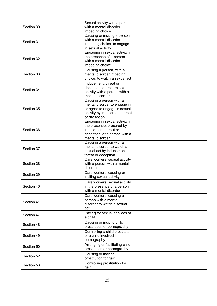| Section 30 | Sexual activity with a person<br>with a mental disorder<br>impeding choice                                                                |  |
|------------|-------------------------------------------------------------------------------------------------------------------------------------------|--|
| Section 31 | Causing or inciting a person,<br>with a mental disorder<br>impeding choice, to engage<br>in sexual activity                               |  |
| Section 32 | Engaging in sexual activity in<br>the presence of a person<br>with a mental disorder<br>impeding choice                                   |  |
| Section 33 | Causing a person, with a<br>mental disorder impeding<br>choice, to watch a sexual act                                                     |  |
| Section 34 | Inducement, threat or<br>deception to procure sexual<br>activity with a person with a<br>mental disorder                                  |  |
| Section 35 | Causing a person with a<br>mental disorder to engage in<br>or agree to engage in sexual<br>activity by inducement, threat<br>or deception |  |
| Section 36 | Engaging in sexual activity in<br>the presence, procured by<br>inducement, threat or<br>deception, of a person with a<br>mental disorder  |  |
| Section 37 | Causing a person with a<br>mental disorder to watch a<br>sexual act by inducement,<br>threat or deception                                 |  |
| Section 38 | Care workers: sexual activity<br>with a person with a mental<br>disorder                                                                  |  |
| Section 39 | Care workers: causing or<br>inciting sexual activity                                                                                      |  |
| Section 40 | Care workers: sexual activity<br>in the presence of a person<br>with a mental disorder                                                    |  |
| Section 41 | Care workers: causing a<br>person with a mental<br>disorder to watch a sexual<br>act                                                      |  |
| Section 47 | Paying for sexual services of<br>a child                                                                                                  |  |
| Section 48 | Causing or inciting child<br>prostitution or pornography                                                                                  |  |
| Section 49 | Controlling a child prostitute<br>or a child involved in<br>pornography                                                                   |  |
| Section 50 | Arranging or facilitating child<br>prostitution or pornography                                                                            |  |
| Section 52 | Causing or inciting<br>prostitution for gain                                                                                              |  |
| Section 53 | Controlling prostitution for<br>gain                                                                                                      |  |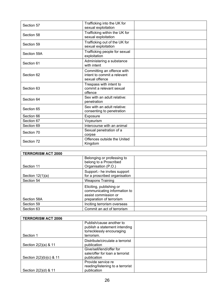| Section 57  | Trafficking into the UK for<br>sexual exploitation                          |  |
|-------------|-----------------------------------------------------------------------------|--|
| Section 58  | Trafficking within the UK for<br>sexual exploitation                        |  |
| Section 59  | Trafficking out of the UK for<br>sexual exploitation                        |  |
| Section 59A | Trafficking people for sexual<br>exploitation                               |  |
| Section 61  | Administering a substance<br>with intent                                    |  |
| Section 62  | Committing an offence with<br>intent to commit a relevant<br>sexual offence |  |
| Section 63  | Trespass with intent to<br>commit a relevant sexual<br>offence              |  |
| Section 64  | Sex with an adult relative:<br>penetration                                  |  |
| Section 65  | Sex with an adult relative:<br>consenting to penetration                    |  |
| Section 66  | Exposure                                                                    |  |
| Section 67  | Voyeurism                                                                   |  |
| Section 69  | Intercourse with an animal                                                  |  |
| Section 70  | Sexual penetration of a<br>corpse                                           |  |
| Section 72  | Offences outside the United<br>Kingdom                                      |  |

| <b>TERRORISM ACT 2000</b> |                                                          |  |
|---------------------------|----------------------------------------------------------|--|
|                           | Belonging or professing to                               |  |
|                           | belong to a Proscribed                                   |  |
| Section 11                | Organisation (P.O.)                                      |  |
|                           | Support.- he invites support                             |  |
| Section $12(1)(a)$        | for a proscribed organisation                            |  |
| Section 54                | <b>Weapons Training</b>                                  |  |
|                           | Eliciting, publishing or<br>communicating information to |  |
|                           | assist commission or                                     |  |
| Section 58A               | preparation of terrorism                                 |  |
| Section 59                | Inciting terrorism overseas                              |  |
| Section 63                | Commit an act of terrorism                               |  |

| <b>TERRORISM ACT 2006</b> |                                                             |  |
|---------------------------|-------------------------------------------------------------|--|
|                           | Publish/cause another to<br>publish a statement intending   |  |
| Section 1                 | to/recklessly encouraging<br>terrorism.                     |  |
|                           |                                                             |  |
| Section 2(2)(a) & 11      | Distribute/circulate a terrorist<br>publication             |  |
|                           | Give/sell/lend/offer for<br>sale/offer for loan a terrorist |  |
| Section 2(2)(b)(c) & 11   | publication                                                 |  |
|                           | Provide service re                                          |  |
|                           | reading/listening to a terrorist                            |  |
| Section 2(2)(d) & 11      | publication                                                 |  |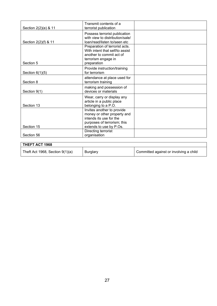| Section 2(2)(e) & 11 | Transmit contents of a<br>terrorist publication                                                                                                |  |
|----------------------|------------------------------------------------------------------------------------------------------------------------------------------------|--|
| Section 2(2)(f) & 11 | Possess terrorist publication<br>with view to distribution/sale/<br>loan/read/listen to/seen etc                                               |  |
| Section 5            | Preparation of terrorist acts.<br>With intent that self/to assist<br>another to commit act of<br>terrorism engage in<br>preparation            |  |
| Section $6(1)(5)$    | Provide instruction/training<br>for terrorism                                                                                                  |  |
| Section 8            | attendance at place used for<br>terrorism training                                                                                             |  |
| Section 9(1)         | making and possession of<br>devices or materials                                                                                               |  |
| Section 13           | Wear, carry or display any<br>article in a public place<br>belonging to a P.O.                                                                 |  |
| Section 15           | Invites another to provide<br>money or other property and<br>intends its use for the<br>purposes of terrorism; this<br>extends to use by P.Os. |  |
| Section 56           | Directing terrorist<br>organisation                                                                                                            |  |

| THEFT ACT 1968                    |                 |                                        |
|-----------------------------------|-----------------|----------------------------------------|
| Theft Act 1968, Section $9(1)(a)$ | <b>Burglary</b> | Committed against or involving a child |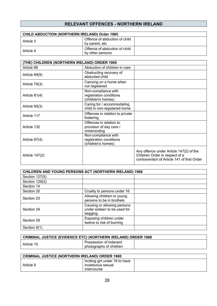#### **RELEVANT OFFENCES - NORTHERN IRELAND**

| <b>CHILD ABDUCTION (NORTHERN IRELAND) Order 1985</b> |                                                   |  |
|------------------------------------------------------|---------------------------------------------------|--|
| Article 3                                            | Offence of abduction of child<br>by parent, etc   |  |
| Article 4                                            | Offence of abduction of child<br>by other persons |  |

| (THE) CHILDREN (NORTHERN IRELAND) ORDER 1995 |                                                                      |                                                                                                                         |
|----------------------------------------------|----------------------------------------------------------------------|-------------------------------------------------------------------------------------------------------------------------|
| Article 68                                   | Abduction of children in care                                        |                                                                                                                         |
| Article 69(9)                                | Obstructing recovery of<br>abducted child                            |                                                                                                                         |
| Article 79(3)                                | Carrying on a home when<br>not registered                            |                                                                                                                         |
| Article 81(4)                                | Non-compliance with<br>registration conditions<br>(children's homes) |                                                                                                                         |
| Article 95(3)                                | Caring for / accommodating<br>child in non-registered home           |                                                                                                                         |
| Article 117                                  | Offences in relation to private<br>fostering                         |                                                                                                                         |
| Article 132                                  | Offences in relation to<br>provision of day care /<br>childminding   |                                                                                                                         |
| Article 97(4)                                | Non-compliance with<br>registration conditions<br>(children's homes) |                                                                                                                         |
| Article 147(2)                               |                                                                      | Any offence under Article 147(2) of the<br>Children Order in respect of a<br>contravention of Article 141 of that Order |

| CHILDREN AND YOUNG PERSONS ACT (NORTHERN IRELAND) 1968 |                                                                        |  |
|--------------------------------------------------------|------------------------------------------------------------------------|--|
| Section 127(5)                                         |                                                                        |  |
| Section 129(3)                                         |                                                                        |  |
| Section 14                                             |                                                                        |  |
| Section 20                                             | Cruelty to persons under 16                                            |  |
| Section 23                                             | Allowing children or young<br>persons to be in brothels                |  |
| Section 24                                             | Causing or allowing persons<br>under sixteen to be used for<br>begging |  |
| Section 29                                             | Exposing children under<br>twelve to risk of burning                   |  |
| Section 9(1)                                           |                                                                        |  |

| CRIMINAL JUSTICE (EVIDENCE ETC) (NORTHERN IRELAND) ORDER 1988 |                                                   |  |
|---------------------------------------------------------------|---------------------------------------------------|--|
| Article 15                                                    | Possession of indecent<br>photographs of children |  |

| <b>CRIMINAL JUSTICE (NORTHERN IRELAND) ORDER 1980</b> |                                |  |
|-------------------------------------------------------|--------------------------------|--|
|                                                       | Inciting girl under 16 to have |  |
| Article 9                                             | incestuous sexual              |  |
|                                                       | intercourse                    |  |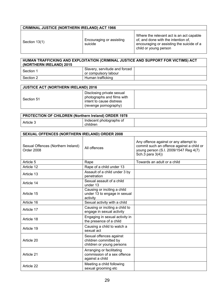| <b>CRIMINAL JUSTICE (NORTHERN IRELAND) ACT 1966</b> |                                     |                                                                                                                                                       |
|-----------------------------------------------------|-------------------------------------|-------------------------------------------------------------------------------------------------------------------------------------------------------|
| Section 13(1)                                       | Encouraging or assisting<br>suicide | Where the relevant act is an act capable<br>of, and done with the intention of,<br>encouraging or assisting the suicide of a<br>child or young person |

| │ HUMAN TRAFFICKING AND EXPLOITATION (CRIMINAL JUSTICE AND SUPPORT FOR VICTIMS) ACT<br>(NORTHERN IRELAND) 2015 |                                                       |  |
|----------------------------------------------------------------------------------------------------------------|-------------------------------------------------------|--|
| Section 1                                                                                                      | Slavery, servitude and forced<br>or compulsory labour |  |
| Section 2                                                                                                      | Human trafficking                                     |  |

| <b>JUSTICE ACT (NORTHERN IRELAND) 2016</b> |                                                                                                              |  |
|--------------------------------------------|--------------------------------------------------------------------------------------------------------------|--|
| Section 51                                 | Disclosing private sexual<br>photographs and films with<br>intent to cause distress<br>(revenge pornography) |  |

| <b>PROTECTION OF CHILDREN (Northern Ireland) ORDER 1978</b> |                                     |  |
|-------------------------------------------------------------|-------------------------------------|--|
| Article 3                                                   | Indecent photographs of<br>children |  |

| <b>SEXUAL OFFENCES (NORTHERN IRELAND) ORDER 2008</b> |                                                                               |                                                                                                                                                 |
|------------------------------------------------------|-------------------------------------------------------------------------------|-------------------------------------------------------------------------------------------------------------------------------------------------|
| Sexual Offences (Northern Ireland)<br>Order 2008     | All offences                                                                  | Any offence against or any attempt to<br>commit such an offence against a child or<br>young person (S.I. 2009/1547 Reg 4(7)<br>Sch.3 para 3(4)) |
| Article 5                                            | Rape                                                                          | Towards an adult or a child                                                                                                                     |
| Article 12                                           | Rape of a child under 13                                                      |                                                                                                                                                 |
| Article 13                                           | Assault of a child under 3 by<br>penetration                                  |                                                                                                                                                 |
| Article 14                                           | Sexual assault of a child<br>under 13                                         |                                                                                                                                                 |
| Article 15                                           | Causing or inciting a child<br>under 13 to engage in sexual<br>activity       |                                                                                                                                                 |
| Article 16                                           | Sexual activity with a child                                                  |                                                                                                                                                 |
| Article 17                                           | Causing or inciting a child to<br>engage in sexual activity                   |                                                                                                                                                 |
| Article 18                                           | Engaging in sexual activity in<br>the presence of a child                     |                                                                                                                                                 |
| Article 19                                           | Causing a child to watch a<br>sexual act                                      |                                                                                                                                                 |
| Article 20                                           | Sexual offences against<br>children committed by<br>children or young persons |                                                                                                                                                 |
| Article 21                                           | Arranging or facilitating<br>commission of a sex offence<br>against a child   |                                                                                                                                                 |
| Article 22                                           | Meeting a child following<br>sexual grooming etc                              |                                                                                                                                                 |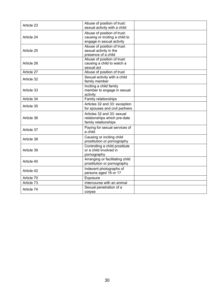| Article 23 | Abuse of position of trust:<br>sexual activity with a child                                |  |
|------------|--------------------------------------------------------------------------------------------|--|
| Article 24 | Abuse of position of trust:<br>causing or inciting a child to<br>engage in sexual activity |  |
| Article 25 | Abuse of position of trust:<br>sexual activity in the<br>presence of a child               |  |
| Article 26 | Abuse of position of trust:<br>causing a child to watch a<br>sexual act                    |  |
| Article 27 | Abuse of position of trust                                                                 |  |
| Article 32 | Sexual activity with a child<br>family member                                              |  |
| Article 33 | Inciting a child family<br>member to engage in sexual<br>activity                          |  |
| Article 34 | Family relationships                                                                       |  |
| Article 35 | Articles 32 and 33: exception<br>for spouses and civil partners                            |  |
| Article 36 | Articles 32 and 33; sexual<br>relationships which pre-date<br>family relationships         |  |
| Article 37 | Paying for sexual services of<br>a child                                                   |  |
| Article 38 | Causing or inciting child<br>prostitution or pornography                                   |  |
| Article 39 | Controlling a child prostitute<br>or a child involved in<br>pornography                    |  |
| Article 40 | Arranging or facilitating child<br>prostitution or pornography                             |  |
| Article 42 | Indecent photographs of<br>persons aged 16 or 17                                           |  |
| Article 70 | Exposure                                                                                   |  |
| Article 73 | Intercourse with an animal                                                                 |  |
| Article 74 | Sexual penetration of a<br>corpse                                                          |  |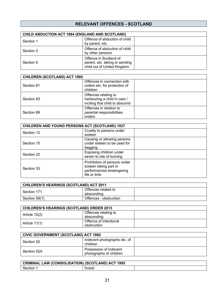#### **RELEVANT OFFENCES - SCOTLAND**

| <b>CHILD ABDUCTION ACT 1984 (ENGLAND AND SCOTLAND)</b> |                                                                                         |  |
|--------------------------------------------------------|-----------------------------------------------------------------------------------------|--|
| Section 1                                              | Offence of abduction of child<br>by parent, etc.                                        |  |
| Section 2                                              | Offence of abduction of child<br>by other persons                                       |  |
| Section 6                                              | Offence in Scotland of<br>parent, etc. taking or sending<br>child out of United Kingdom |  |

| <b>CHILDREN (SCOTLAND) ACT 1995</b> |                                                                                        |  |
|-------------------------------------|----------------------------------------------------------------------------------------|--|
| Section 81                          | Offences in connection with<br>orders etc. for protection of<br>children               |  |
| Section 83                          | Offences relating to<br>harbouring a child in care /<br>inciting that child to abscond |  |
| Section 89                          | Offences in relation to<br>parental responsibilities<br>orders                         |  |

| CHILDREN AND YOUNG PERSONS ACT (SCOTLAND) 1937 |                                                                                                    |  |
|------------------------------------------------|----------------------------------------------------------------------------------------------------|--|
| Section 12                                     | Cruelty to persons under<br>sixteen                                                                |  |
| Section 15                                     | Causing or allowing persons<br>under sixteen to be used for<br>begging                             |  |
| Section 22                                     | Exposing children under<br>seven to risk of burning                                                |  |
| Section 33                                     | Prohibition of persons under<br>sixteen taking part in<br>performances endangering<br>life or limb |  |

| CHILDREN'S HEARINGS (SCOTLAND) ACT 2011 |                                   |  |
|-----------------------------------------|-----------------------------------|--|
| Section 171                             | Offences related to<br>absconding |  |
| Section 59(1)                           | Offences - obstruction            |  |

| <b>CHILDREN'S HEARINGS (SCOTLAND) ORDER 2013</b> |                                       |  |
|--------------------------------------------------|---------------------------------------|--|
| Article $10(2)$                                  | Offences relating to<br>absconding    |  |
| Article 11(1)                                    | Offence of intentional<br>obstruction |  |

| <b>CIVIC GOVERNMENT (SCOTLAND) ACT 1982</b> |                                                   |  |
|---------------------------------------------|---------------------------------------------------|--|
| Section 52                                  | Indecent photographs etc. of<br>children          |  |
| Section 52A                                 | Possession of indecent<br>photographs of children |  |

| CRIMINAL LAW (CONSOLIDATION) (SCOTLAND) ACT 1995 |               |  |
|--------------------------------------------------|---------------|--|
| Section                                          | <b>Incest</b> |  |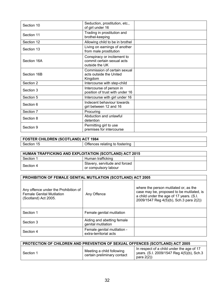| Section 10  | Seduction, prostitution, etc.,<br>of girl under 16                          |  |
|-------------|-----------------------------------------------------------------------------|--|
| Section 11  | Trading in prostitution and<br>brothel-keeping                              |  |
| Section 12  | Allowing child to be in brothel                                             |  |
| Section 13  | Living on earnings of another<br>from male prostitution                     |  |
| Section 16A | Conspiracy or incitement to<br>commit certain sexual acts<br>outside the UK |  |
| Section 16B | Commission of certain sexual<br>acts outside the United<br>Kingdom          |  |
| Section 2   | Intercourse with step-child                                                 |  |
| Section 3   | Intercourse of person in<br>position of trust with under 16                 |  |
| Section 5   | Intercourse with girl under 16                                              |  |
| Section 6   | Indecent behaviour towards<br>girl between 12 and 16                        |  |
| Section 7   | Procuring                                                                   |  |
| Section 8   | Abduction and unlawful<br>detention                                         |  |
| Section 9   | Permitting girl to use<br>premises for intercourse                          |  |

| FOSTER CHILDREN (SCOTLAND) ACT 1984 |                                |  |
|-------------------------------------|--------------------------------|--|
| l Section 15                        | Offences relating to fostering |  |

| <b>HUMAN TRAFFICKING AND EXPLOITATION (SCOTLAND) ACT 2015</b> |                                                       |  |
|---------------------------------------------------------------|-------------------------------------------------------|--|
| Section 1                                                     | Human trafficking                                     |  |
| Section 4                                                     | Slavery, servitude and forced<br>or compulsory labour |  |

| <b>PROHIBITION OF FEMALE GENITAL MUTILATION (SCOTLAND) ACT 2005</b>                              |                                                       |                                                                                                                                                                           |
|--------------------------------------------------------------------------------------------------|-------------------------------------------------------|---------------------------------------------------------------------------------------------------------------------------------------------------------------------------|
| Any offence under the Prohibition of<br><b>Female Genital Mutilation</b><br>(Scotland) Act 2005. | Any Offence                                           | where the person mutilated or, as the<br>case may be, proposed to be mutilated, is<br>a child under the age of 17 years. (S.I.<br>2009/1547 Reg 4(5)(b), Sch.3 para 2(2)) |
| Section 1                                                                                        | Female genital mutilation                             |                                                                                                                                                                           |
| Section 3                                                                                        | Aiding and abetting female<br>genital mutilation      |                                                                                                                                                                           |
| Section 4                                                                                        | Female genital mutilation -<br>extra-territorial acts |                                                                                                                                                                           |

| PROTECTION OF CHILDREN AND PREVENTION OF SEXUAL OFFENCES (SCOTLAND) ACT 2005 |                                                          |                                                                                                         |
|------------------------------------------------------------------------------|----------------------------------------------------------|---------------------------------------------------------------------------------------------------------|
| Section 1                                                                    | Meeting a child following<br>certain preliminary contact | In respect of a child under the age of 17<br>years. (S.I. 2009/1547 Reg 4(5)(b), Sch.3<br>para $2(2)$ ) |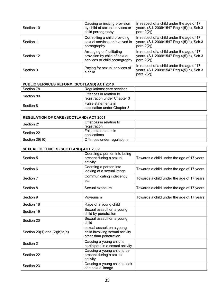| Section 10 | Causing or inciting provision<br>by child of sexual services or<br>child pornography       | In respect of a child under the age of 17<br>years. (S.I. 2009/1547 Reg 4(5)(b), Sch.3<br>para $2(2)$ ) |
|------------|--------------------------------------------------------------------------------------------|---------------------------------------------------------------------------------------------------------|
| Section 11 | Controlling a child providing<br>sexual services or involved in<br>pornography             | In respect of a child under the age of 17<br>years. (S.I. 2009/1547 Reg 4(5)(b), Sch.3<br>para $2(2)$ ) |
| Section 12 | Arranging or facilitating<br>provision by child of sexual<br>services or child pornography | In respect of a child under the age of 17<br>years. (S.I. 2009/1547 Reg 4(5)(b), Sch.3<br>para $2(2)$ ) |
| Section 9  | Paying for sexual services of<br>a child                                                   | In respect of a child under the age of 17<br>years. (S.I. 2009/1547 Reg 4(5)(b), Sch.3<br>para $2(2)$ ) |

| PUBLIC SERVICES REFORM (SCOTLAND) ACT 2010 |                                                         |  |
|--------------------------------------------|---------------------------------------------------------|--|
| Section 78                                 | Regulations: care services                              |  |
| Section 80                                 | Offences in relation to<br>registration under Chapter 3 |  |
| Section 81                                 | False statements in<br>application under Chapter 3      |  |

| <b>REGULATION OF CARE (SCOTLAND) ACT 2001</b> |                            |  |
|-----------------------------------------------|----------------------------|--|
| Section 21                                    | Offences in relation to    |  |
|                                               | registration               |  |
| Section 22                                    | False statements in        |  |
|                                               | applications               |  |
| Section 29(10)                                | Offences under regulations |  |

| <b>SEXUAL OFFENCES (SCOTLAND) ACT 2009</b> |                                                                                        |                                           |
|--------------------------------------------|----------------------------------------------------------------------------------------|-------------------------------------------|
| Section 5                                  | Coercing a person into being<br>present during a sexual<br>activity                    | Towards a child under the age of 17 years |
| Section 6                                  | Coercing a person into<br>looking at a sexual image                                    | Towards a child under the age of 17 years |
| Section 7                                  | Communicating indecently<br>etc                                                        | Towards a child under the age of 17 years |
| Section 8                                  | Sexual exposure                                                                        | Towards a child under the age of 17 years |
| Section 9                                  | Voyeurism                                                                              | Towards a child under the age of 17 years |
| Section 18                                 | Rape of a young child                                                                  |                                           |
| Section 19                                 | Sexual assault on a young<br>child by penetration                                      |                                           |
| Section 20                                 | Sexual assault on a young<br>child                                                     |                                           |
| Section $20(1)$ and $(2)(b)$ to(e)         | sexual assault on a young<br>child involving sexual activity<br>other than penetration |                                           |
| Section 21                                 | Causing a young child to<br>participate in a sexual activity                           |                                           |
| Section 22                                 | Causing a young child to be<br>present during a sexual<br>activity                     |                                           |
| Section 23                                 | Causing a young child to look<br>at a sexual image                                     |                                           |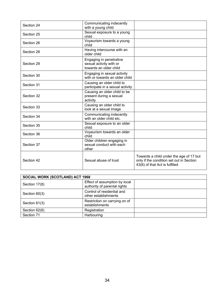| Section 24 | Communicating indecently<br>with a young child                               |                                                                                                                       |
|------------|------------------------------------------------------------------------------|-----------------------------------------------------------------------------------------------------------------------|
| Section 25 | Sexual exposure to a young<br>child                                          |                                                                                                                       |
| Section 26 | Voyeurism towards a young<br>child                                           |                                                                                                                       |
| Section 28 | Having intercourse with an<br>older child                                    |                                                                                                                       |
| Section 29 | Engaging in penetrative<br>sexual activity with or<br>towards an older child |                                                                                                                       |
| Section 30 | Engaging in sexual activity<br>with or towards an older child                |                                                                                                                       |
| Section 31 | Causing an older child to<br>participate in a sexual activity                |                                                                                                                       |
| Section 32 | Causing an older child to be<br>present during a sexual<br>activity          |                                                                                                                       |
| Section 33 | Causing an older child to<br>look at a sexual image                          |                                                                                                                       |
| Section 34 | Communicating indecently<br>with an older child etc.                         |                                                                                                                       |
| Section 35 | Sexual exposure to an older<br>child                                         |                                                                                                                       |
| Section 36 | Voyeurism towards an older<br>child                                          |                                                                                                                       |
| Section 37 | Older children engaging in<br>sexual conduct with each<br>other              |                                                                                                                       |
| Section 42 | Sexual abuse of trust                                                        | Towards a child under the age of 17 but<br>only if the condition set out in Section<br>43(6) of that Act is fulfilled |

| <b>SOCIAL WORK (SCOTLAND) ACT 1968</b> |                                                               |  |
|----------------------------------------|---------------------------------------------------------------|--|
| Section 17(8)                          | Effect of assumption by local<br>authority of parental rights |  |
| Section 60(3)                          | Control of residential and<br>other establishments            |  |
| Section 61(3)                          | Restriction on carrying on of<br>establishments               |  |
| Section 62(6)                          | Registration                                                  |  |
| Section 71                             | Harbouring                                                    |  |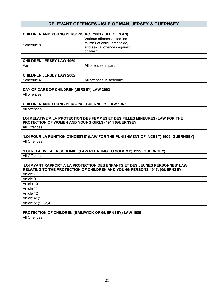#### **RELEVANT OFFENCES - ISLE OF MAN, JERSEY & GUERNSEY**

| CHILDREN AND YOUNG PERSONS ACT 2001 (ISLE OF MAN)                                                                                                        |                                                                                                          |  |  |
|----------------------------------------------------------------------------------------------------------------------------------------------------------|----------------------------------------------------------------------------------------------------------|--|--|
| Schedule 8                                                                                                                                               | Various offences listed inc.<br>murder of child, infanticide,<br>and sexual offences against<br>children |  |  |
| <b>CHILDREN JERSEY LAW 1969</b>                                                                                                                          |                                                                                                          |  |  |
| Part 7                                                                                                                                                   | All offences in part                                                                                     |  |  |
|                                                                                                                                                          |                                                                                                          |  |  |
| <b>CHILDREN JERSEY LAW 2002</b>                                                                                                                          |                                                                                                          |  |  |
| Schedule 4                                                                                                                                               | All offences in schedule                                                                                 |  |  |
|                                                                                                                                                          |                                                                                                          |  |  |
| DAY OF CARE OF CHILDREN (JERSEY) LAW 2002                                                                                                                |                                                                                                          |  |  |
| All offences                                                                                                                                             |                                                                                                          |  |  |
|                                                                                                                                                          |                                                                                                          |  |  |
| <b>CHILDREN AND YOUNG PERSONS (GUERNSEY) LAW 1967</b>                                                                                                    |                                                                                                          |  |  |
| All offences                                                                                                                                             |                                                                                                          |  |  |
| LOI RELATIVE A LA PROTECTION DES FEMMES ET DES FILLES MINEURES (LAW FOR THE<br>PROTECTION OF WOMEN AND YOUNG GIRLS) 1914 (GUERNSEY)                      |                                                                                                          |  |  |
| All Offences                                                                                                                                             |                                                                                                          |  |  |
| 'LOI POUR LA PUNITION D'INCESTE' (LAW FOR THE PUNISHMENT OF INCEST) 1909 (GUERNSEY)                                                                      |                                                                                                          |  |  |
| All Offences                                                                                                                                             |                                                                                                          |  |  |
|                                                                                                                                                          |                                                                                                          |  |  |
| 'LOI RELATIVE A LA SODOMIE' (LAW RELATING TO SODOMY) 1929 (GUERNSEY)                                                                                     |                                                                                                          |  |  |
| All Offences                                                                                                                                             |                                                                                                          |  |  |
|                                                                                                                                                          |                                                                                                          |  |  |
| 'LOI AYANT RAPPORT A LA PROTECTION DES ENFANTS ET DES JEUNES PERSONNES' LAW<br>RELATING TO THE PROTECTION OF CHILDREN AND YOUNG PERSONS 1917, (GUERNSEY) |                                                                                                          |  |  |
| Article 7                                                                                                                                                |                                                                                                          |  |  |
| Article 9                                                                                                                                                |                                                                                                          |  |  |
| Article 10                                                                                                                                               |                                                                                                          |  |  |
| Article 11                                                                                                                                               |                                                                                                          |  |  |
| Article 12                                                                                                                                               |                                                                                                          |  |  |
| Article 41(1)                                                                                                                                            |                                                                                                          |  |  |
| Article 51(1,2,3,4)                                                                                                                                      |                                                                                                          |  |  |
|                                                                                                                                                          |                                                                                                          |  |  |
| PROTECTION OF CHILDREN (BAILIWICK OF GUERNSEY) LAW 1985                                                                                                  |                                                                                                          |  |  |
| All Offences                                                                                                                                             |                                                                                                          |  |  |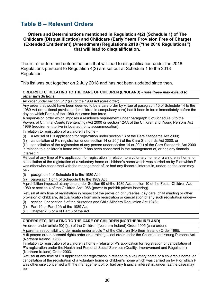# <span id="page-35-0"></span>**Table B – Relevant Orders**

#### **Orders and Determinations mentioned in Regulation 4(2) (Schedule 1) of The Childcare (Disqualification) and Childcare (Early Years Provision Free of Charge) (Extended Entitlement) (Amendment) Regulations 2018 ("the 2018 Regulations") that will lead to disqualification.**

The list of orders and determinations that will lead to disqualification under the 2018 Regulations pursuant to Regulation 4(2) are set out at Schedule 1 to the 2018 Regulation.

This list was put together on 2 July 2018 and has not been updated since then.

**ORDERS ETC. RELATING TO THE CARE OF CHILDREN (ENGLAND) -** *note these may extend to other jurisdictions*

An order under section 31(1)(a) of the 1989 Act (care order).

Any order that would have been deemed to be a care order by virtue of paragraph 15 of Schedule 14 to the 1989 Act (transitional provisions for children in compulsory care) had it been in force immediately before the day on which Part 4 of the 1989 Act came into force.

A supervision order which imposes a residence requirement under paragraph 5 of Schedule 6 to the Powers of Criminal Courts (Sentencing) Act 2000 or section 12AA of the Children and Young Persons Act 1969 (requirement to live in local authority accommodation).

In relation to registration of a children's home -

- (i) a refusal of P's application for registration under section 13 of the Care Standards Act 2000;
- (ii) cancellation of P's registration under section 14 or 20(1) of the Care Standards Act 2000; or

(iii) cancellation of the registration of any person under section 14 or 20(1) of the Care Standards Act 2000 in relation to a children's home which P has been concerned in the management of, or has any financial interest in.

Refusal at any time of P's application for registration in relation to a voluntary home or a children's home, or cancellation of the registration of a voluntary home or children's home which was carried on by P or which P was otherwise concerned with the management of, or had any financial interest in, under, as the case may be -

- (i) paragraph 1 of Schedule 5 to the 1989 Act;
- (ii) paragraph 1 or 4 of Schedule 6 to the 1989 Act.

A prohibition imposed at any time under Section 69 of the 1989 Act, section 10 of the Foster Children Act 1980 or section 4 of the Children Act 1958 (power to prohibit private fostering).

Refusal at any time of registration in respect of the provision of nurseries, day care, child minding or other provision of childcare, disqualification from such registration or cancellation of any such registration under—

- (i) section 1 or section 5 of the Nurseries and Child-Minders Regulation Act 1948;
- (ii) Part 10 or Part 10A of the 1989 Act;
- (iii) Chapter 2, 3 or 4 of Part 3 of the Act.

#### **ORDERS ETC. RELATING TO THE CARE OF CHILDREN (NORTHERN IRELAND)**

An order under article 50(1)(a) of the Children (Northern Ireland) Order 1995 (care order).

A parental responsibility order made under article 7 of the Children (Northern Ireland) Order 1995.

A fit person order, parental rights order or a training scool order under the Children and Young Persons Act (Northern Ireland) 1968.

In relation to registration of a children's home - refusal of P's application for registration or cancellation of P's registration under the Health and Personal Social Services (Quality, Improvement and Regulation) (Northern Ireland) Order 2003.

Refusal at any time of P's application for registration in relation to a voluntary home or a children's home, or cancellation of the registration of a voluntary home or children's home which was carried on by P or which P was otherwise concerned with the management of, or had any financial interest in, under, as the case may be -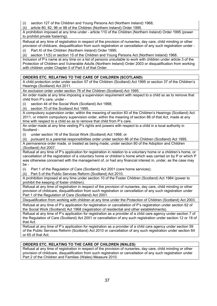(i) section 127 of the Children and Young Persons Act (Northern Ireland) 1968;

(ii) article 80, 82, 96 or 98 of the Children (Northern Ireland) Order 1995.

A prohibition imposed at any time under - article 110 of the Children (Northern Ireland) Order 1995 (power to prohibit private fostering).

Refusal at any time of registration in respect of the provision of nurseries, day care, child minding or other provision of childcare, disqualification from such registration or cancellation of any such registration under - (i) Part XI of the Children (Northern Ireland) Order 1995;

(ii) section 11(5) or section 15 of the Children and Young Persons Act (Northern Ireland) 1968.

Inclusion of P's name at any time on a list of persons unsuitable to work with children under article 3 of the Protection of Children and Vulnerable Adults (Northern Ireland) Order 2003 or disqualification from working with children under Chapter II of Part II of that Order.

#### **ORDERS ETC. RELATING TO THE CARE OF CHILDREN (SCOTLAND)**

A child protection order under section 57 of the Children (Scotland) Act 1995 or section 37 of the Children's Hearings (Scotland) Act 2011.

An exclusion order under section 76 of the Children (Scotland) Act 1995.

An order made at any time imposing a supervision requirement with respect to a child so as to remove that child from P's care, under -

(i) section 44 of the Social Work (Scotland) Act 1968;

(ii) section 70 of the Scotland Act 1995.

A compulsory supervision order, within the meaning of section 83 of the Children's Hearings (Scotland) Act 2011, or interim compulsory supervision order, within the meaning of section 86 of that Act, made at any time with respect to a child so as to remove that child from P's care.

An order made at any time vesting P's rights and powers with respect to a child in a local authority in Scotland -

(i) under section 16 of the Social Work (Scotland) Act 1968; or

(ii) pursuant to a parental responsibilities order under section 86 of the Children (Scotland) Act 1995.

A permanence order made, or treated as being made, under section 80 of the Adoption and Children (Scotland) Act 2007.

Refusal at any time of P's application for registration in relation to a voluntary home or a children's home, or cancellation of the registration of a voluntary home or children's home which was carried on by P or which P was otherwise concerned with the management of, or had any financial interest in, under, as the case may be -

(i) Part 1 of the Regulation of Care (Scotland) Act 2001 (care home services);

(ii) Part 5 of the Public Services Reform (Scotland) Act 2010.

A prohibition imposed at any time under section 10 of the Foster Children (Scotland) Act 1984 (power to prohibit the keeping of foster children).

Refusal at any time of registration in respect of the provision of nurseries, day care, child minding or other provision of childcare, disqualification from such registration or cancellation of any such registration under Part 1 of the Regulation of Care (Scotland) Act 2001.

Disqualification from working with children at any time under the Protection of Children (Scotland) Act 2003.

Refusal at any time of P's application for registration or cancellation of P's registration under section 62 of the Social Work (Scotland) Act 1968 (registration of residential and other establishments).

Refusal at any time of P's application for registration as a provider of a child care agency under section 7 of the Regulation of Care (Scotland) Act 2001 or cancellation of any such registration under section 12 or 18 of that Act.

Refusal at any time of P's application for registration as a provider of a child care agency under section 59 of the Public Services Reform (Scotland) Act 2010 or cancellation of any such registration under section 64 or 65 of that Act.

#### **ORDERS ETC. RELATING TO THE CARE OF CHILDREN (WALES)**

Refusal at any time of registration in respect of the provision of nurseries, day care, child minding or other provision of childcare, disqualification from such registration or cancellation of any such registration under Part 2 of the Children and Families (Wales) Measure 2010.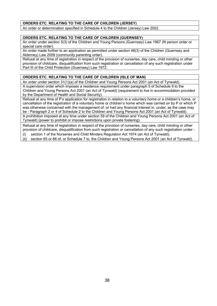#### **ORDERS ETC. RELATING TO THE CARE OF CHILDREN (JERSEY)**

An order or determination specified in Schedule 4 to the Children (Jersey) Law 2002.

#### **ORDERS ETC. RELATING TO THE CARE OF CHILDREN (GUERNSEY)**

An order under section 3(3) of the Children and Young Persons (Guernsey) Law 1967 (fit person order or special care order).

An order made further to an application as permitted under section 48(3) of the Children (Guernsey and Alderney) Law 2009 (community parenting order).

Refusal at any time of registration in respect of the provision of nurseries, day care, child minding or other provision of childcare, disqualification from such registration or cancellation of any such registration under Part III of the Child Protection (Guernsey) Law 1972.

#### **ORDERS ETC. RELATING TO THE CARE OF CHILDREN (ISLE OF MAN)**

An order under section 31(1)(a) of the Children and Young Persons Act 2001 (an Act of Tynwald).

A supervision order which imposes a residence requirement under paragraph 5 of Schedule 9 to the Children and Young Persons Act 2001 (an Act of Tynwald) (requirement to live in accommodation provided by the Department of Health and Social Security).

Refusal at any time of P's application for registration in relation to a voluntary home or a children's home, or cancellation of the registration of a voluntary home or children's home which was carried on by P or which P was otherwise concerned with the management of, or had any financial interest in, under, as the case may be - Paragraph 2 or 4 of Schedule 2 to the Children and Young Persons Act 2001 (an Act of Tynwald).

A prohibition imposed at any time under section 59 of the Children and Young Persons Act 2001 (an Act of Tynwald) (power to prohibit or impose restrictions upon private fostering).

Refusal at any time of registration in respect of the provision of nurseries, day care, child minding or other provision of childcare, disqualification from such registration or cancellation of any such registration under -

(i) section 1 of the Nurseries and Child Minders Regulation Act 1974 (an Act of Tynwald);

(ii) section 65 or 66 of, or Schedule 7 to, the Children and Young Persons Act 2001 (an Act of Tynwald).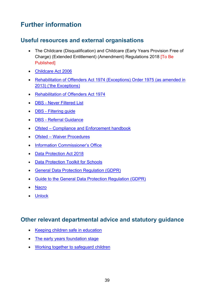# <span id="page-38-0"></span>**Further information**

### <span id="page-38-1"></span>**Useful resources and external organisations**

- The Childcare (Disqualification) and Childcare (Early Years Provision Free of Charge) (Extended Entitlement) (Amendment) Regulations 2018 [To Be Published]
- [Childcare Act 2006](https://www.legislation.gov.uk/ukpga/2006/21/contents)
- [Rehabilitation of Offenders Act 1974 \(Exceptions\) Order 1975 \(as amended in](https://www.legislation.gov.uk/ukdsi/2013/9780111537718/contents)  [2013\) \('the Exceptions\)](https://www.legislation.gov.uk/ukdsi/2013/9780111537718/contents)
- [Rehabilitation of Offenders Act 1974](http://www.legislation.gov.uk/ukpga/1974/53)
- DBS [Never Filtered List](https://www.gov.uk/government/publications/dbs-list-of-offences-that-will-never-be-filtered-from-a-criminal-record-check)
- DBS [Filtering guide](https://www.gov.uk/government/publications/dbs-filtering-guidance/dbs-filtering-guide)
- DBS [Referral Guidance](https://www.gov.uk/government/collections/dbs-referrals-guidance--2)
- Ofsted [Compliance and Enforcement handbook](https://www.gov.uk/government/publications/compliance-investigation-and-enforcement-handbook-childcare)
- Ofsted [Waiver Procedures](https://www.gov.uk/government/publications/applying-to-waive-disqualification-early-years-and-childcare-providers)
- [Information Commissioner's Office](https://ico.org.uk/)
- [Data Protection Act 2018](http://www.legislation.gov.uk/ukpga/2018/12/contents/enacted)
- **[Data Protection Toolkit for Schools](https://www.gov.uk/government/publications/data-protection-toolkit-for-schools)**
- [General Data Protection Regulation \(GDPR\)](https://gdpr-info.eu/)
- [Guide to the General Data Protection Regulation \(GDPR\)](https://ico.org.uk/for-organisations/guide-to-the-general-data-protection-regulation-gdpr/)
- [Nacro](https://www.nacro.org.uk/resettlement-advice-service/)
- [Unlock](http://www.unlock.org.uk/)

### <span id="page-38-2"></span>**Other relevant departmental advice and statutory guidance**

- [Keeping children safe in education](https://www.gov.uk/government/publications/keeping-children-safe-in-education--2)
- [The early years foundation stage](https://www.gov.uk/government/policies/improving-the-quality-and-range-of-education-and-childcare-from-birth-to-5-years/supporting-pages/early-years-foundation-stage)
- [Working together to safeguard children](https://www.gov.uk/government/publications/working-together-to-safeguard-children--2)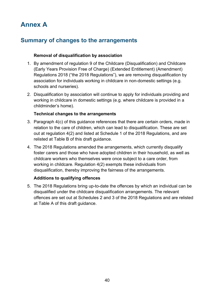# <span id="page-39-0"></span>**Annex A**

# <span id="page-39-1"></span>**Summary of changes to the arrangements**

#### **Removal of disqualification by association**

- 1. By amendment of regulation 9 of the Childcare (Disqualification) and Childcare (Early Years Provision Free of Charge) (Extended Entitlement) (Amendment) Regulations 2018 ("the 2018 Regulations"), we are removing disqualification by association for individuals working in childcare in non-domestic settings (e.g. schools and nurseries).
- 2. Disqualification by association will continue to apply for individuals providing and working in childcare in domestic settings (e.g. where childcare is provided in a childminder's home).

#### **Technical changes to the arrangements**

- 3. Paragraph 4(c) of this guidance references that there are certain orders, made in relation to the care of children, which can lead to disqualification. These are set out at regulation 4(2) and listed at Schedule 1 of the 2018 Regulations, and are relisted at Table B of this draft guidance.
- 4. The 2018 Regulations amended the arrangements, which currently disqualify foster carers and those who have adopted children in their household, as well as childcare workers who themselves were once subject to a care order, from working in childcare. Regulation 4(2) exempts these individuals from disqualification, thereby improving the fairness of the arrangements.

#### **Additions to qualifying offences**

5. The 2018 Regulations bring up-to-date the offences by which an individual can be disqualified under the childcare disqualification arrangements. The relevant offences are set out at Schedules 2 and 3 of the 2018 Regulations and are relisted at Table A of this draft guidance.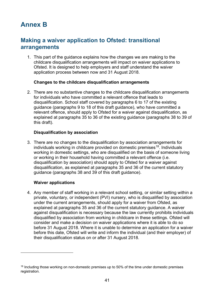# <span id="page-40-0"></span>**Annex B**

### <span id="page-40-1"></span>**Making a waiver application to Ofsted: transitional arrangements**

1. This part of the guidance explains how the changes we are making to the childcare disqualification arrangements will impact on waiver applications to Ofsted. It is designed to help employers and staff understand the waiver application process between now and 31 August 2018.

#### **Changes to the childcare disqualification arrangements**

2. There are no substantive changes to the childcare disqualification arrangements for individuals who have committed a relevant offence that leads to disqualification. School staff covered by paragraphs 6 to 17 of the existing guidance (paragraphs 9 to 18 of this draft guidance), who have committed a relevant offence, should apply to Ofsted for a waiver against disqualification, as explained at paragraphs 35 to 36 of the existing guidance (paragraphs 38 to 39 of this draft).

#### **Disqualification by association**

3. There are no changes to the disqualification by association arrangements for individuals working in childcare provided on domestic premises<sup>[18](#page-40-2)</sup>. Individuals working in domestic settings, who are disqualified on the basis of someone living or working in their household having committed a relevant offence (i.e. disqualification by association) should apply to Ofsted for a waiver against disqualification, as explained at paragraphs 35 and 36 of the current statutory guidance (paragraphs 38 and 39 of this draft guidance).

#### **Waiver applications**

 $\overline{a}$ 

4. Any member of staff working in a relevant school setting, or similar setting within a private, voluntary, or independent (PVI) nursery, who is disqualified by association under the current arrangements, should apply for a waiver from Ofsted, as explained at paragraphs 35 and 36 of the current statutory guidance. A waiver against disqualification is necessary because the law currently prohibits individuals disqualified by association from working in childcare in these settings. Ofsted will consider and make a decision on waiver applications where it is able to do so before 31 August 2018. Where it is unable to determine an application for a waiver before this date, Ofsted will write and inform the individual (and their employer) of their disqualification status on or after 31 August 2018.

<span id="page-40-2"></span> $18$  Including those working on non-domestic premises up to 50% of the time under domestic premises registration.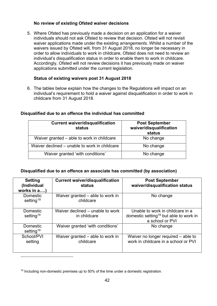#### **No review of existing Ofsted waiver decisions**

5. Where Ofsted has previously made a decision on an application for a waiver individuals should not ask Ofsted to review that decision. Ofsted will not revisit waiver applications made under the existing *arrangements*. Whilst a number of the waivers issued by Ofsted will, from 31 August 2018, no longer be necessary in order to allow individuals to work in childcare, Ofsted does not need to review an individual's disqualification status in order to enable them to work in childcare. Accordingly, Ofsted will not review decisions it has previously made on waiver applications submitted under the current legislation.

#### **Status of existing waivers post 31 August 2018**

6. The tables below explain how the changes to the Regulations will impact on an individual's requirement to hold a waiver against disqualification in order to work in childcare from 31 August 2018.

| <b>Current waiver/disqualification</b><br>status | <b>Post September</b><br>waiver/disqualification<br>status |
|--------------------------------------------------|------------------------------------------------------------|
| Waiver granted – able to work in childcare       | No change                                                  |
| Waiver declined – unable to work in childcare    | No change                                                  |
| Waiver granted 'with conditions'                 | No change                                                  |

#### **Disqualified due to an offence the individual has committed**

#### **Disqualified due to an offence an associate has committed (by association)**

| <b>Setting</b><br>(Individual<br>works in a) | <b>Current waiver/disqualification</b><br>status | <b>Post September</b><br>waiver/disqualification status                                                   |
|----------------------------------------------|--------------------------------------------------|-----------------------------------------------------------------------------------------------------------|
| Domestic<br>setting <sup>19</sup>            | Waiver granted – able to work in<br>childcare    | No change                                                                                                 |
| Domestic<br>setting <sup>19</sup>            | Waiver declined – unable to work<br>in childcare | Unable to work in childcare in a<br>domestic setting <sup>19</sup> but able to work in<br>a school or PVI |
| <b>Domestic</b><br>setting <sup>19</sup>     | Waiver granted 'with conditions'                 | No change                                                                                                 |
| School/PVI<br>setting                        | Waiver granted – able to work in<br>childcare    | Waiver no longer required - able to<br>work in childcare in a school or PVI                               |

<span id="page-41-0"></span><sup>&</sup>lt;sup>19</sup> Including non-domestic premises up to 50% of the time under a domestic registration.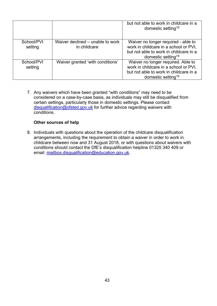|                       |                                                  | but not able to work in childcare in a<br>domestic setting <sup>19</sup>                                                                                 |
|-----------------------|--------------------------------------------------|----------------------------------------------------------------------------------------------------------------------------------------------------------|
| School/PVI<br>setting | Waiver declined – unable to work<br>in childcare | Waiver no longer required - able to<br>work in childcare in a school or PVI,<br>but not able to work in childcare in a<br>domestic setting <sup>19</sup> |
| School/PVI<br>setting | Waiver granted 'with conditions'                 | Waiver no longer required. Able to<br>work in childcare in a school or PVI,<br>but not able to work in childcare in a<br>domestic setting <sup>19</sup>  |

7. Any waivers which have been granted "with conditions" may need to be considered on a case-by-case basis, as individuals may still be disqualified from certain settings, particularly those in domestic settings. Please contact [disqualification@ofsted.gov.uk](mailto:disqualification@ofsted.gov.uk) for further advice regarding waivers with conditions.

#### **Other sources of help**

8. Individuals with questions about the operation of the childcare disqualification arrangements, including the requirement to obtain a waiver in order to work in childcare between now and 31 August 2018, or with questions about waivers with conditions should contact the DfE's disqualification helpline 01325 340 409 or email: [mailbox.disqualification@education.gov.uk.](mailto:mailbox.disqualification@education.gov.uk)